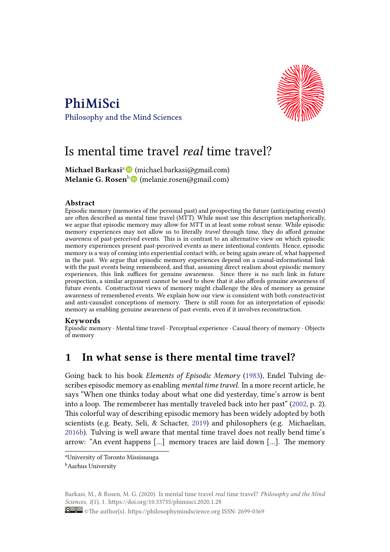



# [Is mental time travel](https://philosophymindscience.org) *real* time travel?

**Michael Barkasi**<sup>a</sup> (michael.barkasi@gmail.com) **Melanie G. Rosen**b (melanie.rosen@gmail.com)

#### **Abstract**

Episodic memory (me[mo](#page-0-0)[rie](https://orcid.org/0000-0002-7545-5558)s of the personal past) and prospecting the future (anticipating events) are often described as mental time travel (MTT). While most use this description metaphorically, we argue that episodic memory may allow for MTT in at least some robust sense. While episodic memory experiences may not allow us to literally *travel* through time, they do afford genuine *awareness* of past-perceived events. This is in contrast to an alternative view on which episodic memory experiences present past-perceived events as mere intentional contents. Hence, episodic memory is a way of coming into experiential contact with, or being again aware of, what happened in the past. We argue that episodic memory experiences depend on a causal-informational link with the past events being remembered, and that, assuming direct realism about episodic memory experiences, this link suffices for genuine awareness. Since there is no such link in future prospection, a similar argument cannot be used to show that it also affords genuine awareness of future events. Constructivist views of memory might challenge the idea of memory as genuine awareness of remembered events. We explain how our view is consistent with both constructivist and anti-causalist conceptions of memory. There is still room for an interpretation of episodic memory as enabling genuine awareness of past events, even if it involves reconstruction.

#### **Keywords**

Episodic memory ∙ Mental time travel ∙ Perceptual experience ∙ Causal theory of memory ∙ Objects of memory

## **1 In what sense is there mental time travel?**

Going back to his book *Elements of Episodic Memory* (1983), Endel Tulving describes episodic memory as enabling *mental time travel*. In a more recent article, he says "When one thinks today about what one did yesterday, time's arrow is bent into a loop. The rememberer has mentally traveled back [into h](#page-25-0)er past" (2002, p. 2). This colorful way of describing episodic memory has been widely adopted by both scientists (e.g. Beaty, Seli, & Schacter, 2019) and philosophers (e.g. Michaelian, 2016b). Tulving is well aware that mental time travel does not really b[end t](#page-26-0)ime's arrow: "An event happens […] memory traces are laid down […]. The memory

<span id="page-0-0"></span>Barkasi, M., & Rosen, M. G. (2020). Is mental time travel *real* time travel? *Philosophy and the Mind Sciences*, *1*(1), 1. https://doi.org/10.33735/phimisci.2020.1.28

<sup>a</sup>University of Toronto Mississauga **b**[Aarhu](#page-25-1)s University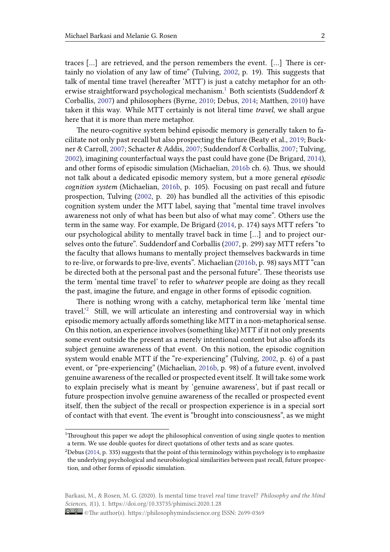traces […] are retrieved, and the person remembers the event. […] There is certainly no violation of any law of time" (Tulving, 2002, p. 19). This suggests that talk of mental time travel (hereafter 'MTT') is just a catchy metaphor for an otherwise straightforward psychological mechanism.<sup>1</sup> Both scientists (Suddendorf  $\&$ Corballis, 2007) and philosophers (Byrne, 2010; D[ebus,](#page-26-0) 2014; Matthen, 2010) have taken it this way. While MTT certainly is not literal time *travel*, we shall argue here that it is more than mere metaphor.

The n[euro-c](#page-25-2)ognitive system behind e[pisodi](#page-23-0)c memo[ry is](#page-24-0) generally [taken](#page-25-3) to facilitate not only past recall but also prospecting the future (Beaty et al., 2019; Buckner & Carroll, 2007; Schacter & Addis, 2007; Suddendorf & Corballis, 2007; Tulving, 2002), imagining counterfactual ways the past could have gone (De Brigard, 2014), and other forms of episodic simulation (Michaelian, 2016b ch. 6). Thus[, we s](#page-23-1)hould not talk abou[t a de](#page-23-2)dicated episodic [memo](#page-25-4)ry system, but a more g[eneral](#page-25-2) *episodic [cogn](#page-26-0)ition system* (Michaelian, 2016b, p. 105). Focusing on past recall and [future](#page-24-1) prospection, Tulving (2002, p. 20) has bundled all [the ac](#page-25-1)tivities of this episodic cognition system under the MTT label, saying that "mental time travel involves awareness not only of what h[as been](#page-25-1) but also of what may come". Others use the term in the same way. [For e](#page-26-0)xample, De Brigard (2014, p. 174) says MTT refers "to our psychological ability to mentally travel back in time […] and to project ourselves onto the future". Suddendorf and Corballis (2007, p. 299) say MTT refers "to the faculty that allows humans to mentally proj[ect th](#page-24-1)emselves backwards in time to re-live, or forwards to pre-live, events". Michaelian (2016b, p. 98) says MTT "can be directed both at the personal past and the pers[onal f](#page-25-2)uture". These theorists use the term 'mental time travel' to refer to *whatever* people are doing as they recall the past, imagine the future, and engage in other for[ms of ep](#page-25-1)isodic cognition.

There is nothing wrong with a catchy, metaphorical term like 'mental time travel.'<sup>2</sup> Still, we will articulate an interesting and controversial way in which episodic memory actually affords something like MTT in a non-metaphorical sense. On this notion, an experience involves (something like) MTT if it not only presents some [ev](#page-1-0)ent outside the present as a merely intentional content but also affords its subject genuine awareness of that event. On this notion, the episodic cognition system would enable MTT if the "re-experiencing" (Tulving, 2002, p. 6) of a past event, or "pre-experiencing" (Michaelian, 2016b, p. 98) of a future event, involved genuine awareness of the recalled or prospected event itself. It will take some work to explain precisely what is meant by 'genuine awareness', [but i](#page-26-0)f past recall or future prospection involve genuine awar[eness o](#page-25-1)f the recalled or prospected event itself, then the subject of the recall or prospection experience is in a special sort of contact with that event. The event is "brought into consciousness", as we might

<sup>1</sup>Throughout this paper we adopt the philosophical convention of using single quotes to mention a term. We use double quotes for direct quotations of other texts and as scare quotes.

 $2$ Debus (2014, p. 335) suggests that the point of this terminology within psychology is to emphasize the underlying psychological and neurobiological similarities between past recall, future prospection, and other forms of episodic simulation.

<span id="page-1-0"></span>Barkasi, M., & Rosen, M. G. (2020). Is mental time travel *real* time travel? *Philosophy and the Mind Sciences*, *1*(1), 1. https://doi.org/10.33735/phimisci.2020.1.28

<sup>©</sup>The author(s). https://philosophymindscience.org ISSN: 2699-0369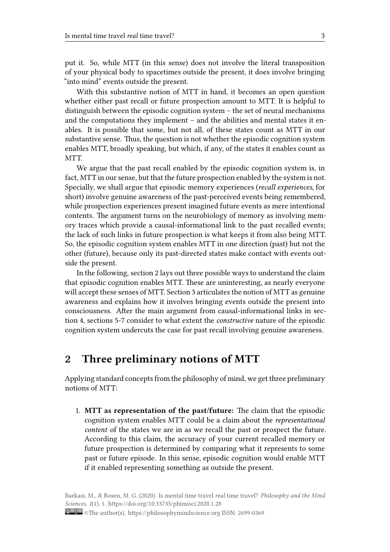put it. So, while MTT (in this sense) does not involve the literal transposition of your physical body to spacetimes outside the present, it does involve bringing "into mind" events outside the present.

With this substantive notion of MTT in hand, it becomes an open question whether either past recall or future prospection amount to MTT. It is helpful to distinguish between the episodic cognition system – the set of neural mechanisms and the computations they implement – and the abilities and mental states it enables. It is possible that some, but not all, of these states count as MTT in our substantive sense. Thus, the question is not whether the episodic cognition system enables MTT, broadly speaking, but which, if any, of the states it enables count as MTT.

We argue that the past recall enabled by the episodic cognition system is, in fact, MTT in our sense, but that the future prospection enabled by the system is not. Specially, we shall argue that episodic memory experiences (*recall experiences*, for short) involve genuine awareness of the past-perceived events being remembered, while prospection experiences present imagined future events as mere intentional contents. The argument turns on the neurobiology of memory as involving memory traces which provide a causal-informational link to the past recalled events; the lack of such links in future prospection is what keeps it from also being MTT. So, the episodic cognition system enables MTT in one direction (past) but not the other (future), because only its past-directed states make contact with events outside the present.

In the following, section 2 lays out three possible ways to understand the claim that episodic cognition enables MTT. These are uninteresting, as nearly everyone will accept these senses of MTT. Section 3 articulates the notion of MTT as genuine awareness and explains how it involves bringing events outside the present into consciousness. After the main argument from causal-informational links in section 4, sections 5-7 consider to what extent the *constructive* nature of the episodic cognition system undercuts the case for past recall involving genuine awareness.

### **2 Three preliminary notions of MTT**

Applying standard concepts from the philosophy of mind, we get three preliminary notions of MTT:

1. **MTT as representation of the past/future:** The claim that the episodic cognition system enables MTT could be a claim about the *representational content* of the states we are in as we recall the past or prospect the future. According to this claim, the accuracy of your current recalled memory or future prospection is determined by comparing what it represents to some past or future episode. In this sense, episodic cognition would enable MTT if it enabled representing something as outside the present.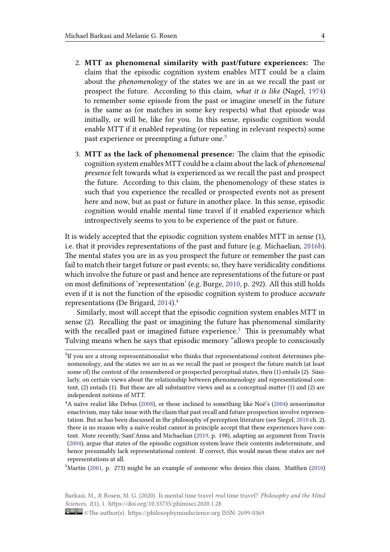- 2. **MTT as phenomenal similarity with past/future experiences:** The claim that the episodic cognition system enables MTT could be a claim about the *phenomenology* of the states we are in as we recall the past or prospect the future. According to this claim, *what it is like* (Nagel, 1974) to remember some episode from the past or imagine oneself in the future is the same as (or matches in some key respects) what that episode was initially, or will be, like for you. In this sense, episodic cognition [would](#page-25-5) enable MTT if it enabled repeating (or repeating in relevant respects) some past experience or preempting a future one.<sup>3</sup>
- 3. **MTT as the lack of phenomenal presence:** The claim that the episodic cognition system enables MTT could be a claim about the lack of *phenomenal presence* felt towards what is experienced a[s w](#page-3-0)e recall the past and prospect the future. According to this claim, the phenomenology of these states is such that you experience the recalled or prospected events not as present here and now, but as past or future in another place. In this sense, episodic cognition would enable mental time travel if it enabled experience which introspectively seems to you to be experience of the past or future.

It is widely accepted that the episodic cognition system enables MTT in sense (1), i.e. that it provides representations of the past and future (e.g. Michaelian, 2016b). The mental states you are in as you prospect the future or remember the past can fail to match their target future or past events; so, they have veridicality conditions which involve the future or past and hence are representations of the future [or pas](#page-25-1)t on most definitions of 'representation' (e.g. Burge, 2010, p. 292). All this still holds even if it is not the function of the episodic cognition system to produce *accurate* representations (De Brigard, 2014).<sup>4</sup>

Similarly, most will accept that the episodic co[gnitio](#page-23-3)n system enables MTT in sense (2). Recalling the past or imagining the future has phenomenal similarity with the recalled past or im[agine](#page-24-1)[d](#page-3-1) future experience.<sup>5</sup> This is presumably what Tulving means when he says that episodic memory "allows people to consciously

 $5$ Martin (2001, p. 273) might be an example of [someo](#page-25-8)ne who denies this claim. Matthen (2010)

<span id="page-3-2"></span>Barkasi, M., & Rosen, M. G. (2020). Is mental time travel *real* time travel? *Philosophy and the [Mind](#page-25-3) Sciences*, *1*[\(1\), 1](#page-24-3). https://doi.org/10.33735/phimisci.2020.1.28

 ${}^{3}$ If you are a strong representationalist who thinks that representational content determines phenomenology, and the states we are in as we recall the past or p[ro](#page-3-2)spect the future match (at least some of) the content of the remembered or prospected perceptual states, then (1) entails (2). Similarly, on certain views about the relationship between phenomenology and representational content, (2) entails (1). But these are all substantive views and as a conceptual matter (1) and (2) are independent notions of MTT.

<span id="page-3-1"></span><span id="page-3-0"></span><sup>&</sup>lt;sup>4</sup>A naïve realist like Debus (2008), or those inclined to something like Noë's (2004) sensorimotor enactivism, may take issue with the claim that past recall and future prospection involve representation. But as has been discussed in the philosophy of perception literature (see Siegel, 2010 ch. 2), there is no reason why a naïve realist cannot in principle accept that these experiences have content. More recently, Sant'A[nna a](#page-24-2)nd Michaelian (2019, p. 198), adapting an ar[gume](#page-25-6)nt from Travis (2004), argue that states of the episodic cognition system leave their contents indeterminate, and hence presumably lack representational content. If correct, this would mean these st[ates a](#page-25-7)re not representations at all.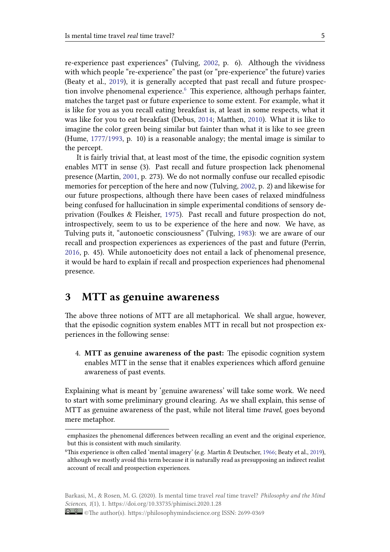re-experience past experiences" (Tulving, 2002, p. 6). Although the vividness with which people "re-experience" the past (or "pre-experience" the future) varies (Beaty et al., 2019), it is generally accepted that past recall and future prospection involve phenomenal experience. $6\,$  Thi[s expe](#page-26-0)rience, although perhaps fainter, matches the target past or future experience to some extent. For example, what it is like for yo[u as y](#page-23-1)ou recall eating breakfast is, at least in some respects, what it was like for you to eat breakfast (De[b](#page-4-0)us, 2014; Matthen, 2010). What it is like to imagine the color green being similar but fainter than what it is like to see green (Hume, 1777/1993, p. 10) is a reasonable analogy; the mental image is similar to the percept.

It is fairly trivial that, at least most of [the t](#page-24-0)ime, the e[pisodi](#page-25-3)c cognition system enables [MTT in s](#page-24-4)ense (3). Past recall and future prospection lack phenomenal presence (Martin, 2001, p. 273). We do not normally confuse our recalled episodic memories for perception of the here and now (Tulving, 2002, p. 2) and likewise for our future prospections, although there have been cases of relaxed mindfulness being confused fo[r hall](#page-24-3)ucination in simple experimental conditions of sensory deprivation (Foulkes & Fleisher, 1975). Past recall and [futur](#page-26-0)e prospection do not, introspectively, seem to us to be experience of the here and now. We have, as Tulving puts it, "autonoetic consciousness" (Tulving, 1983): we are aware of our recall and prospection experie[nces a](#page-24-5)s experiences of the past and future (Perrin, 2016, p. 45). While autonoeticity does not entail a lack of phenomenal presence, it would be hard to explain if recall and prospection e[xperie](#page-25-0)nces had phenomenal presence.

### **3 MTT as genuine awareness**

The above three notions of MTT are all metaphorical. We shall argue, however, that the episodic cognition system enables MTT in recall but not prospection experiences in the following sense:

4. **MTT as genuine awareness of the past:** The episodic cognition system enables MTT in the sense that it enables experiences which afford genuine awareness of past events.

Explaining what is meant by 'genuine awareness' will take some work. We need to start with some preliminary ground clearing. As we shall explain, this sense of MTT as genuine awareness of the past, while not literal time *travel*, goes beyond mere metaphor.

emphasizes the phenomenal differences between recalling an event and the original experience, but this is consistent with much similarity.

<sup>&</sup>lt;sup>6</sup>This experience is often called 'mental imagery' (e.g. Martin & Deutscher, 1966; Beaty et al., 2019), although we mostly avoid this term because it is naturally read as presupposing an indirect realist account of recall and prospection experiences.

<span id="page-4-0"></span>Barkasi, M., & Rosen, M. G. (2020). Is mental time travel *real* time travel? *Philosophy and the Mind Sciences*, *1*(1), 1. https://doi.org/10.33735/phimisci.2020.1.28

<sup>©</sup>The author(s). https://philosophymindscience.org ISSN: 2699-0369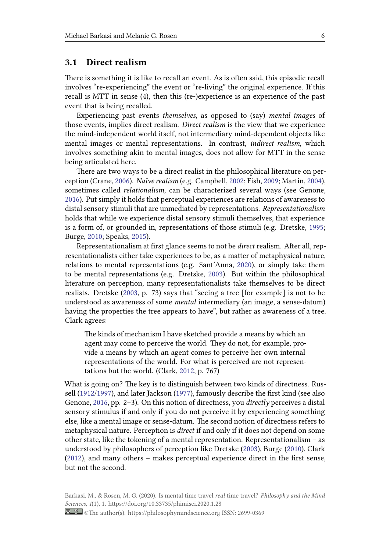### **3.1 Direct realism**

There is something it is like to recall an event. As is often said, this episodic recall involves "re-experiencing" the event or "re-living" the original experience. If this recall is MTT in sense (4), then this (re-)experience is an experience of the past event that is being recalled.

Experiencing past events *themselves*, as opposed to (say) *mental images* of those events, implies direct realism. *Direct realism* is the view that we experience the mind-independent world itself, not intermediary mind-dependent objects like mental images or mental representations. In contrast, *indirect realism*, which involves something akin to mental images, does not allow for MTT in the sense being articulated here.

There are two ways to be a direct realist in the philosophical literature on perception (Crane, 2006). *Naïve realism* (e.g. Campbell, 2002; Fish, 2009; Martin, 2004), sometimes called *relationalism*, can be characterized several ways (see Genone, 2016). Put simply it holds that perceptual experiences are relations of awareness to distal sensory stimuli that are unmediated by representations. *Representationalism* holds that whil[e we](#page-23-4) experience distal sensory stim[uli the](#page-23-5)msel[ves, th](#page-24-6)at expe[rience](#page-24-7) [is a f](#page-24-8)orm of, or grounded in, representations of those stimuli (e.g. Dretske, 1995; Burge, 2010; Speaks, 2015).

Representationalism at first glance seems to not be *direct* realism. After all, representationalists either take experiences to be, as a matter of metaphysical n[ature](#page-24-9), relatio[ns to](#page-23-3) mental [repre](#page-25-9)sentations (e.g. Sant'Anna, 2020), or simply take them to be mental representations (e.g. Dretske, 2003). But within the philosophical literature on perception, many representationalists take themselves to be direct realists. Dretske (2003, p. 73) says that "seeing a tree [for example] is not to be understood as awareness of some *mental* int[erme](#page-24-10)diar[y \(an](#page-25-10) image, a sense-datum) having the properties the tree appears to have", but rather as awareness of a tree. Clark agrees:

The kinds of mechanism I have sketched provide a means by which an agent may come to perceive the world. They do not, for example, provide a means by which an agent comes to perceive her own internal representations of the world. For what is perceived are not representations but the world. (Clark, 2012, p. 767)

What is going on? The key is to distinguish between two kinds of directness. Russell (1912/1997), and later Jackson (1977), famously describe the first kind (see also Genone, 2016, pp. 2–3). On this noti[on of](#page-23-6) directness, you *directly* perceives a distal sensory stimulus if and only if you do not perceive it by experiencing something else, like a mental image or sense-datum. The second notion of directness refers to met[aphysical n](#page-25-11)ature. Perception is *[direc](#page-24-11)t* if and only if it does not depend on some other sta[te, lik](#page-24-8)e the tokening of a mental representation. Representationalism – as understood by philosophers of perception like Dretske (2003), Burge (2010), Clark (2012), and many others – makes perceptual experience direct in the first sense, but not the second.

[Barkas](#page-23-6)i, M., & Rosen, M. G. (2020). Is mental time travel *real* time travel? *Philosophy and the Mind Sciences*, *1*(1), 1. https://doi.org/10.33735/phimisci.2020.1.28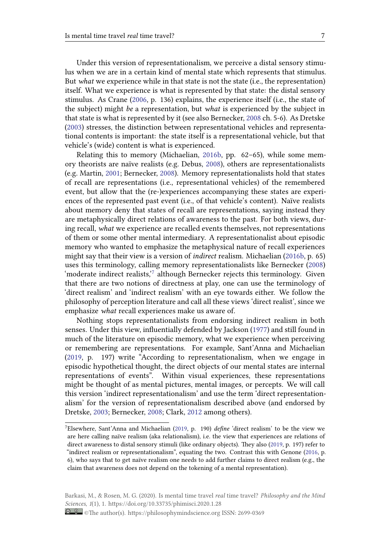Under this version of representationalism, we perceive a distal sensory stimulus when we are in a certain kind of mental state which represents that stimulus. But *what* we experience while in that state is not the state (i.e., the representation) itself. What we experience is what is represented by that state: the distal sensory stimulus. As Crane (2006, p. 136) explains, the experience itself (i.e., the state of the subject) might *be* a representation, but *what* is experienced by the subject in that state is what is represented by it (see also Bernecker, 2008 ch. 5-6). As Dretske (2003) stresses, the distinction between representational vehicles and representational contents is im[porta](#page-23-4)nt: the state itself is a representational vehicle, but that vehicle's (wide) content is what is experienced.

Relating this to memory (Michaelian, 2016b, pp. 6[2–65\)](#page-23-7), while some mem[ory th](#page-24-10)eorists are naïve realists (e.g. Debus, 2008), others are representationalists (e.g. Martin, 2001; Bernecker, 2008). Memory representationalists hold that states of recall are representations (i.e., representational vehicles) of the remembered event, but allow that the (re-)experiences [accom](#page-25-1)panying these states are experiences of the represented past event (i.e., of [that v](#page-24-2)ehicle's content). Naïve realists about memo[ry de](#page-24-3)ny that stat[es of](#page-23-7) recall are representations, saying instead they are metaphysically direct relations of awareness to the past. For both views, during recall, *what* we experience are recalled events themselves, not representations of them or some other mental intermediary. A representationalist about episodic memory who wanted to emphasize the metaphysical nature of recall experiences might say that their view is a version of *indirect* realism. Michaelian (2016b, p. 65) uses this terminology, calling memory representationalists like Bernecker (2008) 'moderate indirect realists,<sup>7</sup> although Bernecker rejects this terminology. Given that there are two notions of directness at play, one can use the terminology of 'direct realism' and 'indirect realism' with an eye towards either. [We follo](#page-25-1)w the philosophy of perception li[te](#page-6-0)rature and call all these views 'direct realist', sin[ce we](#page-23-7) emphasize *what* recall experiences make us aware of.

Nothing stops representationalists from endorsing indirect realism in both senses. Under this view, influentially defended by Jackson (1977) and still found in much of the literature on episodic memory, what we experience when perceiving or remembering are representations. For example, Sant'Anna and Michaelian (2019, p. 197) write "According to representationalism, when we engage in episodic hypothetical thought, the direct objects of our m[ental](#page-24-11) states are internal representations of events". Within visual experiences, these representations might be thought of as mental pictures, mental images, or percepts. We will call [this v](#page-25-8)ersion 'indirect representationalism' and use the term 'direct representationalism' for the version of representationalism described above (and endorsed by Dretske, 2003; Bernecker, 2008; Clark, 2012 among others).

<span id="page-6-0"></span><sup>7</sup>Elsewhere, Sant'Anna and Michaelian (2019, p. 190) *define* 'direct realism' to be the view we are here calling naïve realism (aka relationalism), i.e. the view that experiences are relations of direct aw[arenes](#page-24-10)s to distal sen[sory st](#page-23-7)imuli (li[ke ordi](#page-23-6)nary objects). They also (2019, p. 197) refer to "indirect realism or representationalism", equating the two. Contrast this with Genone (2016, p. 6), who says that to get naïve realism o[ne ne](#page-25-8)eds to add further claims to direct realism (e.g., the claim that awareness does not depend on the tokening of a mental representation).

Barkasi, M., & Rosen, M. G. (2020). Is mental time travel *real* time travel? *Philosophy and the Mind Sciences*, *1*(1), 1. https://doi.org/10.33735/phimisci.2020.1.28

<sup>©</sup>The author(s). https://philosophymindscience.org ISSN: 2699-0369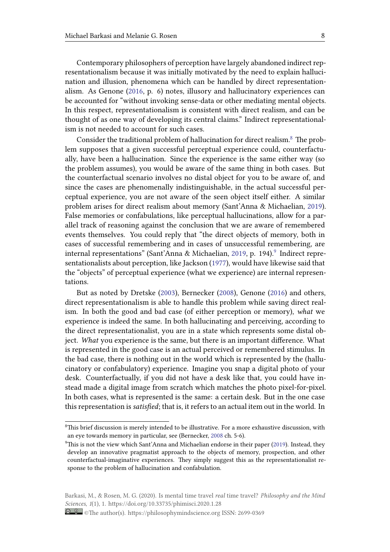Contemporary philosophers of perception have largely abandoned indirect representationalism because it was initially motivated by the need to explain hallucination and illusion, phenomena which can be handled by direct representationalism. As Genone (2016, p. 6) notes, illusory and hallucinatory experiences can be accounted for "without invoking sense-data or other mediating mental objects. In this respect, representationalism is consistent with direct realism, and can be thought of as one [way of](#page-24-8) developing its central claims." Indirect representationalism is not needed to account for such cases.

Consider the traditional problem of hallucination for direct realism.<sup>8</sup> The problem supposes that a given successful perceptual experience could, counterfactually, have been a hallucination. Since the experience is the same either way (so the problem assumes), you would be aware of the same thing in both [c](#page-7-0)ases. But the counterfactual scenario involves no distal object for you to be aware of, and since the cases are phenomenally indistinguishable, in the actual successful perceptual experience, you are not aware of the seen object itself either. A similar problem arises for direct realism about memory (Sant'Anna & Michaelian, 2019). False memories or confabulations, like perceptual hallucinations, allow for a parallel track of reasoning against the conclusion that we are aware of remembered events themselves. You could reply that "the direct objects of memory, b[oth in](#page-25-8) cases of successful remembering and in cases of unsuccessful remembering, are internal representations" (Sant'Anna & Michaelian, 2019, p. 194).<sup>9</sup> Indirect representationalists about perception, like Jackson (1977), would have likewise said that the "objects" of perceptual experience (what we experience) are internal representations.

But as noted by Dretske (2003), Bernecke[r \(20](#page-24-11)0[8\), Ge](#page-25-8)none (2016) and others, direct representationalism is able to handle this problem while saving direct realism. In both the good and bad case (of either perception or memory), *what* we experience is indeed the sam[e. In b](#page-24-10)oth hallucina[ting](#page-23-7) and percei[ving,](#page-24-8) according to the direct representationalist, you are in a state which represents some distal object. *What* you experience is the same, but there is an important difference. What is represented in the good case is an actual perceived or remembered stimulus. In the bad case, there is nothing out in the world which is represented by the (hallucinatory or confabulatory) experience. Imagine you snap a digital photo of your desk. Counterfactually, if you did not have a desk like that, you could have instead made a digital image from scratch which matches the photo pixel-for-pixel. In both cases, what is represented is the same: a certain desk. But in the one case this representation is*satisfied*; that is, it refers to an actual item out in the world. In

 ${}^{8}$ This brief discussion is merely intended to be illustrative. For a more exhaustive discussion, with an eye towards memory in particular, see (Bernecker, 2008 ch. 5-6).

<span id="page-7-0"></span> $9$ This is not the view which Sant'Anna and Michaelian endorse in their paper (2019). Instead, they develop an innovative pragmatist approach to the objects of memory, prospection, and other counterfactual-imaginative experiences. They simply suggest this as the representationalist response to the problem of hallucination and confabula[tion.](#page-23-7)

Barkasi, M., & Rosen, M. G. (2020). Is mental time travel *real* time travel? *Philosophy and the Mind Sciences*, *1*(1), 1. https://doi.org/10.33735/phimisci.2020.1.28

<sup>©</sup>The author(s). https://philosophymindscience.org ISSN: 2699-0369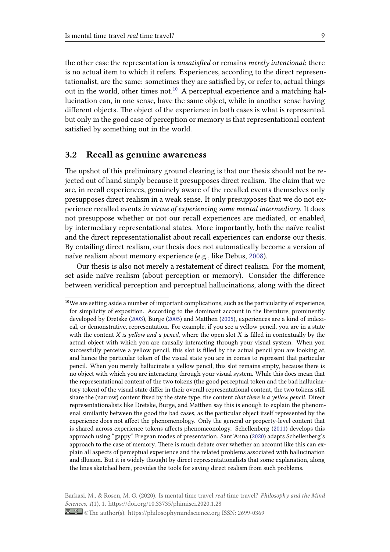the other case the representation is *unsatisfied* or remains *merely intentional*; there is no actual item to which it refers. Experiences, according to the direct representationalist, are the same: sometimes they are satisfied by, or refer to, actual things out in the world, other times not.<sup>10</sup> A perceptual experience and a matching hallucination can, in one sense, have the same object, while in another sense having different objects. The object of the experience in both cases is what is represented, but only in the good case of perce[pti](#page-8-0)on or memory is that representational content satisfied by something out in the world.

### **3.2 Recall as genuine awareness**

The upshot of this preliminary ground clearing is that our thesis should not be rejected out of hand simply because it presupposes direct realism. The claim that we are, in recall experiences, genuinely aware of the recalled events themselves only presupposes direct realism in a weak sense. It only presupposes that we do not experience recalled events *in virtue of experiencing some mental intermediary*. It does not presuppose whether or not our recall experiences are mediated, or enabled, by intermediary representational states. More importantly, both the naïve realist and the direct representationalist about recall experiences can endorse our thesis. By entailing direct realism, our thesis does not automatically become a version of naïve realism about memory experience (e.g., like Debus, 2008).

Our thesis is also not merely a restatement of direct realism. For the moment, set aside naïve realism (about perception or memory). Consider the difference between veridical perception and perceptual hallucinatio[ns, al](#page-24-2)ong with the direct

Barkasi, M., & Rosen, M. G. (2020). Is mental time travel *real* time travel? *Philosophy and the Mind Sciences*, *1*(1), 1. https://doi.org/10.33735/phimisci.2020.1.28

<span id="page-8-0"></span> $10$ We are setting aside a number of important complications, such as the particularity of experience, for simplicity of exposition. According to the dominant account in the literature, prominently developed by Dretske (2003), Burge (2005) and Matthen (2005), experiences are a kind of indexical, or demonstrative, representation. For example, if you see a yellow pencil, you are in a state with the content *X is yellow and a pencil*, where the open slot *X* is filled in contextually by the actual object with which you are causally interacting through your visual system. When you successfully perceivea [yello](#page-24-10)w penci[l, thi](#page-23-8)s slot is filled [by the](#page-25-12) actual pencil you are looking at, and hence the particular token of the visual state you are in comes to represent that particular pencil. When you merely hallucinate a yellow pencil, this slot remains empty, because there is no object with which you are interacting through your visual system. While this does mean that the representational content of the two tokens (the good perceptual token and the bad hallucinatory token) of the visual state differ in their overall representational content, the two tokens still share the (narrow) content fixed by the state type, the content *that there is a yellow pencil*. Direct representationalists like Dretske, Burge, and Matthen say this is enough to explain the phenomenal similarity between the good the bad cases, as the particular object itself represented by the experience does not affect the phenomenology. Only the general or property-level content that is shared across experience tokens affects phenomeonology. Schellenberg (2011) develops this approach using "gappy" Fregean modes of presentation. Sant'Anna (2020) adapts Schellenberg's approach to the case of memory. There is much debate over whether an account like this can explain all aspects of perceptual experience and the related problems associated with hallucination and illusion. But it is widely thought by direct representationalists that som[e expl](#page-25-13)anation, along the lines sketched here, provides the tools for saving direct realismf[rom s](#page-25-10)uch problems.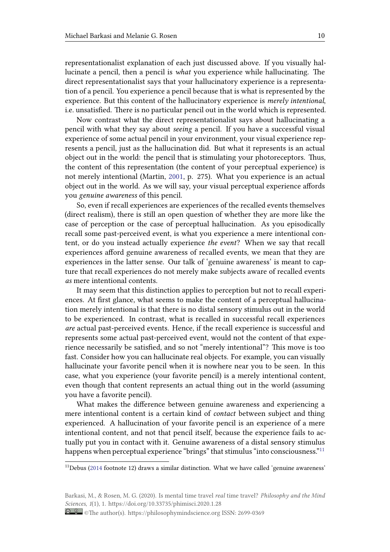representationalist explanation of each just discussed above. If you visually hallucinate a pencil, then a pencil is *what* you experience while hallucinating. The direct representationalist says that your hallucinatory experience is a representation of a pencil. You experience a pencil because that is what is represented by the experience. But this content of the hallucinatory experience is *merely intentional*, i.e. unsatisfied. There is no particular pencil out in the world which is represented.

Now contrast what the direct representationalist says about hallucinating a pencil with what they say about *seeing* a pencil. If you have a successful visual experience of some actual pencil in your environment, your visual experience represents a pencil, just as the hallucination did. But what it represents is an actual object out in the world: the pencil that is stimulating your photoreceptors. Thus, the content of this representation (the content of your perceptual experience) is not merely intentional (Martin, 2001, p. 275). What you experience is an actual object out in the world. As we will say, your visual perceptual experience affords you *genuine awareness* of this pencil.

So, even if recall experiences [are e](#page-24-3)xperiences of the recalled events themselves (direct realism), there is still an open question of whether they are more like the case of perception or the case of perceptual hallucination. As you episodically recall some past-perceived event, is what you experience a mere intentional content, or do you instead actually experience *the event*? When we say that recall experiences afford genuine awareness of recalled events, we mean that they are experiences in the latter sense. Our talk of 'genuine awareness' is meant to capture that recall experiences do not merely make subjects aware of recalled events *as* mere intentional contents.

It may seem that this distinction applies to perception but not to recall experiences. At first glance, what seems to make the content of a perceptual hallucination merely intentional is that there is no distal sensory stimulus out in the world to be experienced. In contrast, what is recalled in successful recall experiences *are* actual past-perceived events. Hence, if the recall experience is successful and represents some actual past-perceived event, would not the content of that experience necessarily be satisfied, and so not "merely intentional"? This move is too fast. Consider how you can hallucinate real objects. For example, you can visually hallucinate your favorite pencil when it is nowhere near you to be seen. In this case, what you experience (your favorite pencil) is a merely intentional content, even though that content represents an actual thing out in the world (assuming you have a favorite pencil).

What makes the difference between genuine awareness and experiencing a mere intentional content is a certain kind of *contact* between subject and thing experienced. A hallucination of your favorite pencil is an experience of a mere intentional content, and not that pencil itself, because the experience fails to actually put you in contact with it. Genuine awareness of a distal sensory stimulus happens when perceptual experience "brings" that stimulus "into consciousness."<sup>11</sup>

 $11$ Debus (2014 footnote 12) draws a similar distinction. What we have called 'genuine awareness'

Barkasi, M., & Rosen, M. G. (2020). Is mental time travel *real* time travel? *Philosophy and the Mind Sciences*, *1*[\(1\), 1](#page-24-0). https://doi.org/10.33735/phimisci.2020.1.28

<sup>©</sup>The author(s). https://philosophymindscience.org ISSN: 2699-0369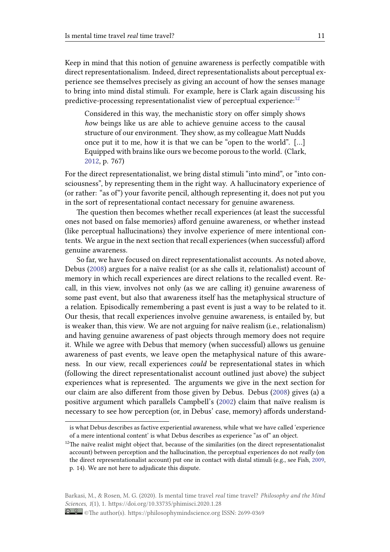Keep in mind that this notion of genuine awareness is perfectly compatible with direct representationalism. Indeed, direct representationalists about perceptual experience see themselves precisely as giving an account of how the senses manage to bring into mind distal stimuli. For example, here is Clark again discussing his predictive-processing representationalist view of perceptual experience:<sup>12</sup>

Considered in this way, the mechanistic story on offer simply shows *how* beings like us are able to achieve genuine access to the causal structure of our environment. They show, as my colleague Matt Nu[dd](#page-10-0)s once put it to me, how it is that we can be "open to the world". […] Equipped with brains like ours we become porous to the world. (Clark, 2012, p. 767)

For the direct representationalist, we bring distal stimuli "into mind", or "into consciousness", by representing them in the right way. A hallucinatory experience of (or ra[ther:](#page-23-6) "as of") your favorite pencil, although representing it, does not put you in the sort of representational contact necessary for genuine awareness.

The question then becomes whether recall experiences (at least the successful ones not based on false memories) afford genuine awareness, or whether instead (like perceptual hallucinations) they involve experience of mere intentional contents. We argue in the next section that recall experiences (when successful) afford genuine awareness.

So far, we have focused on direct representationalist accounts. As noted above, Debus (2008) argues for a naïve realist (or as she calls it, relationalist) account of memory in which recall experiences are direct relations to the recalled event. Recall, in this view, involves not only (as we are calling it) genuine awareness of some p[ast ev](#page-24-2)ent, but also that awareness itself has the metaphysical structure of a relation. Episodically remembering a past event is just a way to be related to it. Our thesis, that recall experiences involve genuine awareness, is entailed by, but is weaker than, this view. We are not arguing for naïve realism (i.e., relationalism) and having genuine awareness of past objects through memory does not require it. While we agree with Debus that memory (when successful) allows us genuine awareness of past events, we leave open the metaphysical nature of this awareness. In our view, recall experiences *could* be representational states in which (following the direct representationalist account outlined just above) the subject experiences what is represented. The arguments we give in the next section for our claim are also different from those given by Debus. Debus (2008) gives (a) a positive argument which parallels Campbell's (2002) claim that naïve realism is necessary to see how perception (or, in Debus' case, memory) affords understand-

is what Debus describes as factive experiential awareness, while what we ha[ve calle](#page-24-2)d 'experience of a mere intentional content' is what Debus describes [as expe](#page-23-5)rience "as of" an object.

<span id="page-10-0"></span> $12$ The naïve realist might object that, because of the similarities (on the direct representationalist account) between perception and the hallucination, the perceptual experiences do not *really* (on the direct representationalist account) put one in contact with distal stimuli (e.g., see Fish, 2009, p. 14). We are not here to adjudicate this dispute.

<sup>©</sup>The author(s). https://philosophymindscience.org ISSN: 2699-0369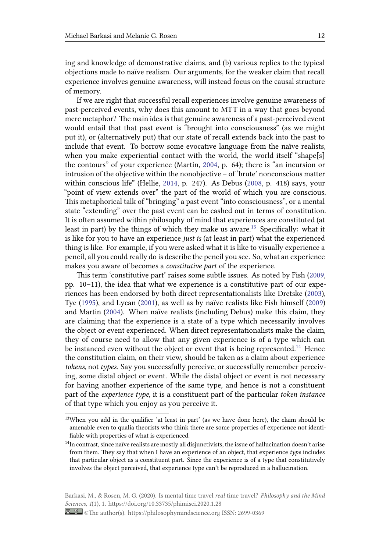ing and knowledge of demonstrative claims, and (b) various replies to the typical objections made to naïve realism. Our arguments, for the weaker claim that recall experience involves genuine awareness, will instead focus on the causal structure of memory.

If we are right that successful recall experiences involve genuine awareness of past-perceived events, why does this amount to MTT in a way that goes beyond mere metaphor? The main idea is that genuine awareness of a past-perceived event would entail that that past event is "brought into consciousness" (as we might put it), or (alternatively put) that our state of recall extends back into the past to include that event. To borrow some evocative language from the naïve realists, when you make experiential contact with the world, the world itself "shape[s] the contours" of your experience (Martin, 2004, p. 64); there is "an incursion or intrusion of the objective within the nonobjective – of 'brute' nonconscious matter within conscious life" (Hellie, 2014, p. 247). As Debus (2008, p. 418) says, your "point of view extends over" the part of the world of which you are conscious. This metaphorical talk of "bringing" a past [event](#page-24-7) "into consciousness", or a mental state "extending" over the past event can be cashed out in terms of constitution. It is often assumed within phil[osoph](#page-24-12)y of mind that exper[ience](#page-24-2)s are constituted (at least in part) by the things of which they make us aware.<sup>13</sup> Specifically: what it is like for you to have an experience *just is* (at least in part) what the experienced thing is like. For example, if you were asked what it is like to visually experience a pencil, all you could really do is describe the pencil you see. [S](#page-11-0)o, what an experience makes you aware of becomes a *constitutive part* of the experience.

This term 'constitutive part' raises some subtle issues. As noted by Fish (2009, pp. 10–11), the idea that what we experience is a constitutive part of our experiences has been endorsed by both direct representationalists like Dretske (2003), Tye (1995), and Lycan (2001), as well as by naïve realists like Fish himself (2009) and Martin (2004). When naïve realists (including Debus) make this claim, [they](#page-24-6) are claiming that the experience is a state of a type which necessarily involves the object or event experienced. When direct representationalists make the [claim](#page-24-10), they [of co](#page-26-1)urse need to [allow](#page-24-13) that any given experience is of a type whic[h can](#page-24-6) be instanced [even](#page-24-7) without the object or event that is being represented.<sup>14</sup> Hence the constitution claim, on their view, should be taken as a claim about experience *tokens*, not *types*. Say you successfully perceive, or successfully remember perceiving, some distal object or event. While the distal object or event is not [ne](#page-11-1)cessary for having another experience of the same type, and hence is not a constituent part of the *experience type*, it is a constituent part of the particular *token instance* of that type which you enjoy as you perceive it.

<sup>&</sup>lt;sup>13</sup>When you add in the qualifier 'at least in part' (as we have done here), the claim should be amenable even to qualia theorists who think there are some properties of experience not identifiable with properties of what is experienced.

<span id="page-11-1"></span><span id="page-11-0"></span> $14$ In contrast, since naïve realists are mostly all disjunctivists, the issue of hallucination doesn't arise from them. They say that when I have an experience of an object, that experience *type* includes that particular object as a constituent part. Since the experience is of a type that constitutively involves the object perceived, that experience type can't be reproduced in a hallucination.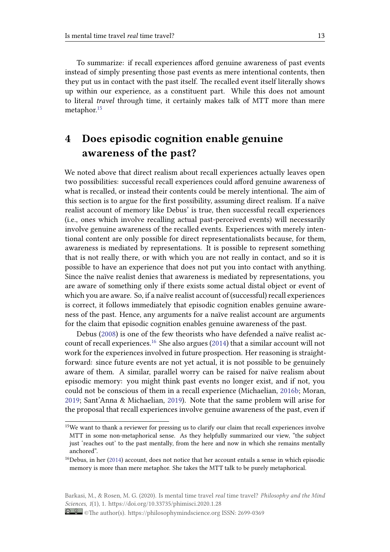To summarize: if recall experiences afford genuine awareness of past events instead of simply presenting those past events as mere intentional contents, then they put us in contact with the past itself. The recalled event itself literally shows up within our experience, as a constituent part. While this does not amount to literal *travel* through time, it certainly makes talk of MTT more than mere metaphor.<sup>15</sup>

# **4 Do[es](#page-12-0) episodic cognition enable genuine awareness of the past?**

We noted above that direct realism about recall experiences actually leaves open two possibilities: successful recall experiences could afford genuine awareness of what is recalled, or instead their contents could be merely intentional. The aim of this section is to argue for the first possibility, assuming direct realism. If a naïve realist account of memory like Debus' is true, then successful recall experiences (i.e., ones which involve recalling actual past-perceived events) will necessarily involve genuine awareness of the recalled events. Experiences with merely intentional content are only possible for direct representationalists because, for them, awareness is mediated by representations. It is possible to represent something that is not really there, or with which you are not really in contact, and so it is possible to have an experience that does not put you into contact with anything. Since the naïve realist denies that awareness is mediated by representations, you are aware of something only if there exists some actual distal object or event of which you are aware. So, if a naïve realist account of (successful) recall experiences is correct, it follows immediately that episodic cognition enables genuine awareness of the past. Hence, any arguments for a naïve realist account are arguments for the claim that episodic cognition enables genuine awareness of the past.

Debus (2008) is one of the few theorists who have defended a naïve realist account of recall experiences.<sup>16</sup> She also argues (2014) that a similar account will not work for the experiences involved in future prospection. Her reasoning is straightforward: s[ince f](#page-24-2)uture events are not yet actual, it is not possible to be genuinely aware of them. A similar, [p](#page-12-1)arallel worry ca[n be](#page-24-0) raised for naïve realism about episodic memory: you might think past events no longer exist, and if not, you could not be conscious of them in a recall experience (Michaelian, 2016b; Moran, 2019; Sant'Anna & Michaelian, 2019). Note that the same problem will arise for the proposal that recall experiences involve genuine awareness of the past, even if

<sup>&</sup>lt;sup>15</sup>We want to thank a reviewer for pressing us to clarify our claim that recall ex[perience](#page-25-1)s involve [MT](#page-25-14)T in some non-metaphorical se[nse. A](#page-25-8)s they helpfully summarized our view, "the subject just 'reaches out' to the past mentally, from the here and now in which she remains mentally anchored".

<span id="page-12-0"></span> $^{16}$ Debus, in her (2014) account, does not notice that her account entails a sense in which episodic memory is more than mere metaphor. She takes the MTT talk to be purely metaphorical.

<span id="page-12-1"></span>Barkasi, M., & R[osen,](#page-24-0) M. G. (2020). Is mental time travel *real* time travel? *Philosophy and the Mind Sciences*, *1*(1), 1. https://doi.org/10.33735/phimisci.2020.1.28

<sup>©</sup>The author(s). https://philosophymindscience.org ISSN: 2699-0369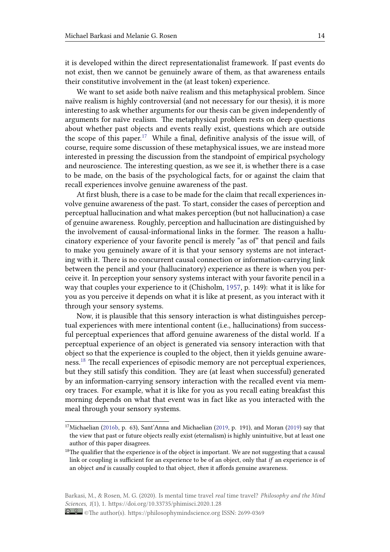it is developed within the direct representationalist framework. If past events do not exist, then we cannot be genuinely aware of them, as that awareness entails their constitutive involvement in the (at least token) experience.

We want to set aside both naïve realism and this metaphysical problem. Since naïve realism is highly controversial (and not necessary for our thesis), it is more interesting to ask whether arguments for our thesis can be given independently of arguments for naïve realism. The metaphysical problem rests on deep questions about whether past objects and events really exist, questions which are outside the scope of this paper.<sup>17</sup> While a final, definitive analysis of the issue will, of course, require some discussion of these metaphysical issues, we are instead more interested in pressing the discussion from the standpoint of empirical psychology and neuroscience. The i[nt](#page-13-0)eresting question, as we see it, is whether there is a case to be made, on the basis of the psychological facts, for or against the claim that recall experiences involve genuine awareness of the past.

At first blush, there is a case to be made for the claim that recall experiences involve genuine awareness of the past. To start, consider the cases of perception and perceptual hallucination and what makes perception (but not hallucination) a case of genuine awareness. Roughly, perception and hallucination are distinguished by the involvement of causal-informational links in the former. The reason a hallucinatory experience of your favorite pencil is merely "as of" that pencil and fails to make you genuinely aware of it is that your sensory systems are not interacting with it. There is no concurrent causal connection or information-carrying link between the pencil and your (hallucinatory) experience as there is when you perceive it. In perception your sensory systems interact with your favorite pencil in a way that couples your experience to it (Chisholm, 1957, p. 149): what it is like for you as you perceive it depends on what it is like at present, as you interact with it through your sensory systems.

Now, it is plausible that this sensory interacti[on is w](#page-23-9)hat distinguishes perceptual experiences with mere intentional content (i.e., hallucinations) from successful perceptual experiences that afford genuine awareness of the distal world. If a perceptual experience of an object is generated via sensory interaction with that object so that the experience is coupled to the object, then it yields genuine awareness.<sup>18</sup> The recall experiences of episodic memory are not perceptual experiences, but they still satisfy this condition. They are (at least when successful) generated by an information-carrying sensory interaction with the recalled event via memory [tra](#page-13-1)ces. For example, what it is like for you as you recall eating breakfast this morning depends on what that event was in fact like as you interacted with the meal through your sensory systems.

<span id="page-13-1"></span>Barkasi, M., & Rosen, M. G. (2020). Is mental time travel *real* time travel? *Philosophy and the Mind Sciences*, *1*(1), 1. https://doi.org/10.33735/phimisci.2020.1.28

<sup>&</sup>lt;sup>17</sup>Michaelian (2016b, p. 63), Sant'Anna and Michaelian (2019, p. 191), and Moran (2019) say that the view that past or future objects really exist (eternalism) is highly unintuitive, but at least one author of this paper disagrees.

<span id="page-13-0"></span> $18$ The qualifier that the experience is of the object is important. We are not suggesting that a causal link or coup[ling is](#page-25-1) sufficient for an experience to be of [an ob](#page-25-8)ject, only that *if* an e[xperi](#page-25-14)ence is of an object *and* is causally coupled to that object, *then* it affords genuine awareness.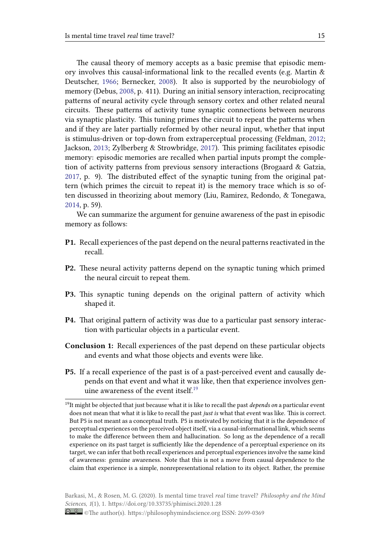The causal theory of memory accepts as a basic premise that episodic memory involves this causal-informational link to the recalled events (e.g. Martin & Deutscher, 1966; Bernecker, 2008). It also is supported by the neurobiology of memory (Debus, 2008, p. 411). During an initial sensory interaction, reciprocating patterns of neural activity cycle through sensory cortex and other related neural circuits. [These p](#page-24-14)atterns of a[ctivit](#page-23-7)y tune synaptic connections between neurons via synaptic plas[ticity](#page-24-2). This tuning primes the circuit to repeat the patterns when and if they are later partially reformed by other neural input, whether that input is stimulus-driven or top-down from extraperceptual processing (Feldman, 2012; Jackson, 2013; Zylberberg & Strowbridge, 2017). This priming facilitates episodic memory: episodic memories are recalled when partial inputs prompt the completion of activity patterns from previous sensory interactions (Brogaard & G[atzia](#page-24-15), 2017, p. [9\). Th](#page-24-16)e distributed effect of the [syna](#page-26-2)ptic tuning from the original pattern (which primes the circuit to repeat it) is the memory trace which is so often discussed in theorizing about memory (Liu, Ramirez, Redondo, & Tonegawa, [2014](#page-23-10), p. 59).

We can summarize the argument for genuine awareness of the past in episodic memory as follows:

- **[P1.](#page-24-17)** Recall experiences of the past depend on the neural patterns reactivated in the recall.
- **P2.** These neural activity patterns depend on the synaptic tuning which primed the neural circuit to repeat them.
- **P3.** This synaptic tuning depends on the original pattern of activity which shaped it.
- **P4.** That original pattern of activity was due to a particular past sensory interaction with particular objects in a particular event.
- **Conclusion 1:** Recall experiences of the past depend on these particular objects and events and what those objects and events were like.
- **P5.** If a recall experience of the past is of a past-perceived event and causally depends on that event and what it was like, then that experience involves genuine awareness of the event itself.<sup>19</sup>

<span id="page-14-0"></span><sup>19</sup>It might be objected that just because what it is like to recall the past *depends on* a particular event does not mean that what it is like to recall the past *just is* what that event was like. This is correct. But P5 is not meant as a conceptual truth. P5 is [m](#page-14-0)otivated by noticing that it is the dependence of perceptual experiences on the perceived object itself, via a causal-informational link, which seems to make the difference between them and hallucination. So long as the dependence of a recall experience on its past target is sufficiently like the dependence of a perceptual experience on its target, we can infer that both recall experiences and perceptual experiences involve the same kind of awareness: genuine awareness. Note that this is not a move from causal dependence to the claim that experience is a simple, nonrepresentational relation to its object. Rather, the premise

<sup>©</sup>The author(s). https://philosophymindscience.org ISSN: 2699-0369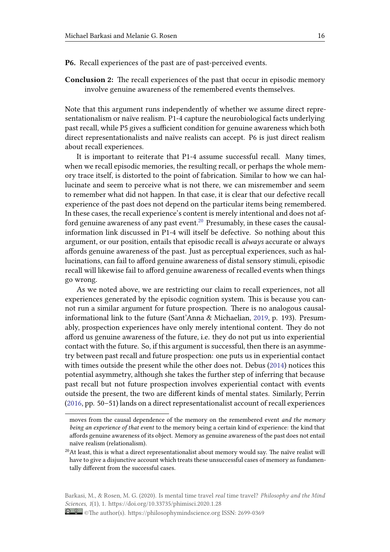**P6.** Recall experiences of the past are of past-perceived events.

**Conclusion 2:** The recall experiences of the past that occur in episodic memory involve genuine awareness of the remembered events themselves.

Note that this argument runs independently of whether we assume direct representationalism or naïve realism. P1-4 capture the neurobiological facts underlying past recall, while P5 gives a sufficient condition for genuine awareness which both direct representationalists and naïve realists can accept. P6 is just direct realism about recall experiences.

It is important to reiterate that P1-4 assume successful recall. Many times, when we recall episodic memories, the resulting recall, or perhaps the whole memory trace itself, is distorted to the point of fabrication. Similar to how we can hallucinate and seem to perceive what is not there, we can misremember and seem to remember what did not happen. In that case, it is clear that our defective recall experience of the past does not depend on the particular items being remembered. In these cases, the recall experience's content is merely intentional and does not afford genuine awareness of any past event.<sup>20</sup> Presumably, in these cases the causalinformation link discussed in P1-4 will itself be defective. So nothing about this argument, or our position, entails that episodic recall is *always* accurate or always affords genuine awareness of the past. Ju[st a](#page-15-0)s perceptual experiences, such as hallucinations, can fail to afford genuine awareness of distal sensory stimuli, episodic recall will likewise fail to afford genuine awareness of recalled events when things go wrong.

As we noted above, we are restricting our claim to recall experiences, not all experiences generated by the episodic cognition system. This is because you cannot run a similar argument for future prospection. There is no analogous causalinformational link to the future (Sant'Anna & Michaelian, 2019, p. 193). Presumably, prospection experiences have only merely intentional content. They do not afford us genuine awareness of the future, i.e. they do not put us into experiential contact with the future. So, if this argument is successful, t[hen th](#page-25-8)ere is an asymmetry between past recall and future prospection: one puts us in experiential contact with times outside the present while the other does not. Debus (2014) notices this potential asymmetry, although she takes the further step of inferring that because past recall but not future prospection involves experiential contact with events outside the present, the two are different kinds of mental states. [Sim](#page-24-0)ilarly, Perrin (2016, pp. 50–51) lands on a direct representationalist account of recall experiences

<span id="page-15-0"></span>Barkasi, M., & Rosen, M. G. (2020). Is mental time travel *real* time travel? *Philosophy and the Mind Sciences*, *1*(1), 1. https://doi.org/10.33735/phimisci.2020.1.28

moves from the causal dependence of the memory on the remembered event *and the memory being an experience of that event* to the memory being a certain kind of experience: the kind that [affor](#page-25-15)ds genuine awareness of its object. Memory as genuine awareness of the past does not entail naïve realism (relationalism).

 $^{20}$ At least, this is what a direct representationalist about memory would say. The naïve realist will have to give a disjunctive account which treats these unsuccessful cases of memory as fundamentally different from the successful cases.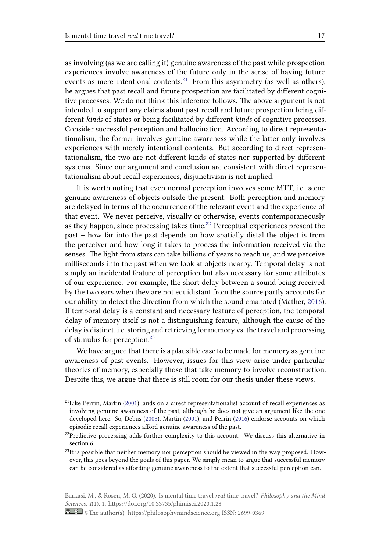as involving (as we are calling it) genuine awareness of the past while prospection experiences involve awareness of the future only in the sense of having future events as mere intentional contents.<sup>21</sup> From this asymmetry (as well as others), he argues that past recall and future prospection are facilitated by different cognitive processes. We do not think this inference follows. The above argument is not intended to support any claims abou[t p](#page-16-0)ast recall and future prospection being different *kinds* of states or being facilitated by different *kinds* of cognitive processes. Consider successful perception and hallucination. According to direct representationalism, the former involves genuine awareness while the latter only involves experiences with merely intentional contents. But according to direct representationalism, the two are not different kinds of states nor supported by different systems. Since our argument and conclusion are consistent with direct representationalism about recall experiences, disjunctivism is not implied.

It is worth noting that even normal perception involves some MTT, i.e. some genuine awareness of objects outside the present. Both perception and memory are delayed in terms of the occurrence of the relevant event and the experience of that event. We never perceive, visually or otherwise, events contemporaneously as they happen, since processing takes time.<sup>22</sup> Perceptual experiences present the past – how far into the past depends on how spatially distal the object is from the perceiver and how long it takes to process the information received via the senses. The light from stars can take billion[s o](#page-16-1)f years to reach us, and we perceive milliseconds into the past when we look at objects nearby. Temporal delay is not simply an incidental feature of perception but also necessary for some attributes of our experience. For example, the short delay between a sound being received by the two ears when they are not equidistant from the source partly accounts for our ability to detect the direction from which the sound emanated (Mather, 2016). If temporal delay is a constant and necessary feature of perception, the temporal delay of memory itself is not a distinguishing feature, although the cause of the delay is distinct, i.e. storing and retrieving for memory vs. the travel and proc[essing](#page-25-16) of stimulus for perception.<sup>23</sup>

We have argued that there is a plausible case to be made for memory as genuine awareness of past events. However, issues for this view arise under particular theories of memory, espec[ia](#page-16-2)lly those that take memory to involve reconstruction. Despite this, we argue that there is still room for our thesis under these views.

<sup>&</sup>lt;sup>21</sup>Like Perrin, Martin (2001) lands on a direct representationalist account of recall experiences as involving genuine awareness of the past, although he does not give an argument like the one developed here. So, Debus (2008), Martin (2001), and Perrin (2016) endorse accounts on which episodic recall experiences afford genuine awareness of the past.

<span id="page-16-0"></span> $22$ Predictive processin[g add](#page-24-3)s further complexity to this account. We discuss this alternative in section 6.

<span id="page-16-1"></span> $^{23}$ It is possible that neither m[emory](#page-24-2) nor perc[eptio](#page-24-3)n should be v[iewed](#page-25-15) in the way proposed. However, this goes beyond the goals of this paper. We simply mean to argue that successful memory can be considered as affording genuine awareness to the extent that successful perception can.

<span id="page-16-2"></span>Barkasi, M., & Rosen, M. G. (2020). Is mental time travel *real* time travel? *Philosophy and the Mind Sciences*, *1*(1), 1. https://doi.org/10.33735/phimisci.2020.1.28

<sup>©</sup>The author(s). https://philosophymindscience.org ISSN: 2699-0369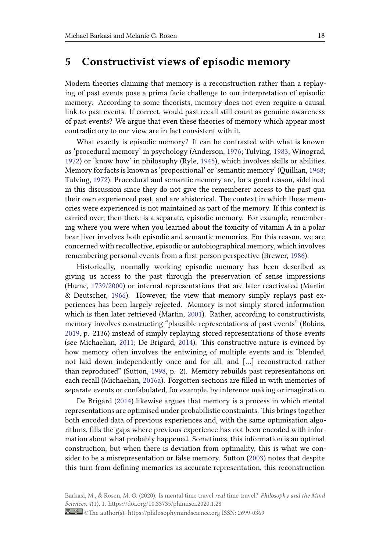## **5 Constructivist views of episodic memory**

Modern theories claiming that memory is a reconstruction rather than a replaying of past events pose a prima facie challenge to our interpretation of episodic memory. According to some theorists, memory does not even require a causal link to past events. If correct, would past recall still count as genuine awareness of past events? We argue that even these theories of memory which appear most contradictory to our view are in fact consistent with it.

What exactly is episodic memory? It can be contrasted with what is known as 'procedural memory' in psychology (Anderson, 1976; Tulving, 1983; Winograd, 1972) or 'know how' in philosophy (Ryle, 1945), which involves skills or abilities. Memory for facts is known as 'propositional' or 'semantic memory' (Quillian, 1968; Tulving, 1972). Procedural and semantic memory [are, fo](#page-23-11)r a good [reaso](#page-25-0)n, sidelined [in th](#page-26-3)is discussion since they do not give [the re](#page-25-17)memberer access to the past qua their own experienced past, and are ahistorical. The context in which these [mem](#page-25-18)ories we[re exp](#page-25-19)erienced is not maintained as part of the memory. If this context is carried over, then there is a separate, episodic memory. For example, remembering where you were when you learned about the toxicity of vitamin A in a polar bear liver involves both episodic and semantic memories. For this reason, we are concerned with recollective, episodic or autobiographical memory, which involves remembering personal events from a first person perspective (Brewer, 1986).

Historically, normally working episodic memory has been described as giving us access to the past through the preservation of sense impressions (Hume, 1739/2000) or internal representations that are later reactiva[ted \(M](#page-23-12)artin & Deutscher, 1966). However, the view that memory simply replays past experiences has been largely rejected. Memory is not simply stored information which i[s then later](#page-24-18) retrieved (Martin, 2001). Rather, according to constructivists, memory invol[ves c](#page-24-14)onstructing "plausible representations of past events" (Robins, 2019, p. 2136) instead of simply replaying stored representations of those events (see Michaelian, 2011; De Brigard, 20[14\). Th](#page-24-3)is constructive nature is evinced by how memory often involves the entwining of multiple events and is "blended, [not](#page-25-20) laid down independently once and for all, and […] reconstructed rather than reproduced[" \(Su](#page-25-21)tton, 1998, p. [2\). M](#page-24-1)emory rebuilds past representations on each recall (Michaelian, 2016a). Forgotten sections are filled in with memories of separate events or confabulated, for example, by inference making or imagination.

De Brigard (2014) like[wise a](#page-25-22)rgues that memory is a process in which mental representations are opti[mised u](#page-25-23)nder probabilistic constraints. This brings together both encoded data of previous experiences and, with the same optimisation algorithms, fills the [gaps](#page-24-1) where previous experience has not been encoded with information about what probably happened. Sometimes, this information is an optimal construction, but when there is deviation from optimality, this is what we consider to be a misrepresentation or false memory. Sutton (2003) notes that despite this turn from defining memories as accurate representation, this reconstruction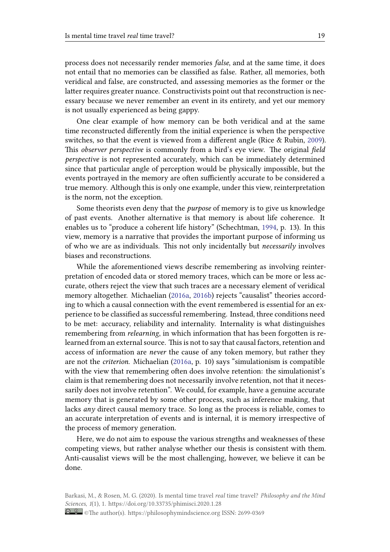process does not necessarily render memories *false*, and at the same time, it does not entail that no memories can be classified as false. Rather, all memories, both veridical and false, are constructed, and assessing memories as the former or the latter requires greater nuance. Constructivists point out that reconstruction is necessary because we never remember an event in its entirety, and yet our memory is not usually experienced as being gappy.

One clear example of how memory can be both veridical and at the same time reconstructed differently from the initial experience is when the perspective switches, so that the event is viewed from a different angle (Rice & Rubin, 2009). This *observer perspective* is commonly from a bird's eye view. The original *field perspective* is not represented accurately, which can be immediately determined since that particular angle of perception would be physically impossible, b[ut the](#page-25-25) events portrayed in the memory are often sufficiently accurate to be considered a true memory. Although this is only one example, under this view, reinterpretation is the norm, not the exception.

Some theorists even deny that the *purpose* of memory is to give us knowledge of past events. Another alternative is that memory is about life coherence. It enables us to "produce a coherent life history" (Schechtman, 1994, p. 13). In this view, memory is a narrative that provides the important purpose of informing us of who we are as individuals. This not only incidentally but *necessarily* involves biases and reconstructions.

While the aforementioned views describe remembering [as inv](#page-25-26)olving reinterpretation of encoded data or stored memory traces, which can be more or less accurate, others reject the view that such traces are a necessary element of veridical memory altogether. Michaelian (2016a, 2016b) rejects "causalist" theories according to which a causal connection with the event remembered is essential for an experience to be classified as successful remembering. Instead, three conditions need to be met: accuracy, reliability a[nd int](#page-25-23)[ernality](#page-25-1). Internality is what distinguishes remembering from *relearning*, in which information that has been forgotten is relearned from an external source. This is not to say that causal factors, retention and access of information are *never* the cause of any token memory, but rather they are not the *criterion*. Michaelian (2016a, p. 10) says "simulationism is compatible with the view that remembering often does involve retention: the simulationist's claim is that remembering does not necessarily involve retention, not that it necessarily does not involve retention". [We co](#page-25-23)uld, for example, have a genuine accurate memory that is generated by some other process, such as inference making, that lacks *any* direct causal memory trace. So long as the process is reliable, comes to an accurate interpretation of events and is internal, it is memory irrespective of the process of memory generation.

Here, we do not aim to espouse the various strengths and weaknesses of these competing views, but rather analyse whether our thesis is consistent with them. Anti-causalist views will be the most challenging, however, we believe it can be done.

Barkasi, M., & Rosen, M. G. (2020). Is mental time travel *real* time travel? *Philosophy and the Mind Sciences*, *1*(1), 1. https://doi.org/10.33735/phimisci.2020.1.28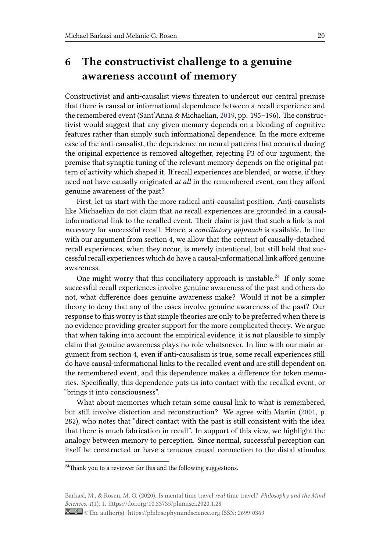# **6 The constructivist challenge to a genuine awareness account of memory**

Constructivist and anti-causalist views threaten to undercut our central premise that there is causal or informational dependence between a recall experience and the remembered event (Sant'Anna & Michaelian, 2019, pp. 195–196). The constructivist would suggest that any given memory depends on a blending of cognitive features rather than simply such informational dependence. In the more extreme case of the anti-causalist, the dependence on ne[ural p](#page-25-8)atterns that occurred during the original experience is removed altogether, rejecting P3 of our argument, the premise that synaptic tuning of the relevant memory depends on the original pattern of activity which shaped it. If recall experiences are blended, or worse, if they need not have causally originated *at all* in the remembered event, can they afford genuine awareness of the past?

First, let us start with the more radical anti-causalist position. Anti-causalists like Michaelian do not claim that *no* recall experiences are grounded in a causalinformational link to the recalled event. Their claim is just that such a link is not *necessary* for successful recall. Hence, a *conciliatory approach* is available. In line with our argument from section 4, we allow that the content of causally-detached recall experiences, when they occur, is merely intentional, but still hold that successful recall experiences which do have a causal-informational link afford genuine awareness.

One might worry that this conciliatory approach is unstable.<sup>24</sup> If only some successful recall experiences involve genuine awareness of the past and others do not, what difference does genuine awareness make? Would it not be a simpler theory to deny that any of the cases involve genuine awareness [of](#page-19-0) the past? Our response to this worry is that simple theories are only to be preferred when there is no evidence providing greater support for the more complicated theory. We argue that when taking into account the empirical evidence, it is not plausible to simply claim that genuine awareness plays no role whatsoever. In line with our main argument from section 4, even if anti-causalism is true, some recall experiences still do have causal-informational links to the recalled event and are still dependent on the remembered event, and this dependence makes a difference for token memories. Specifically, this dependence puts us into contact with the recalled event, or "brings it into consciousness".

What about memories which retain some causal link to what is remembered, but still involve distortion and reconstruction? We agree with Martin (2001, p. 282), who notes that "direct contact with the past is still consistent with the idea that there is much fabrication in recall". In support of this view, we highlight the analogy between memory to perception. Since normal, successful percep[tion c](#page-24-3)an itself be constructed or have a tenuous causal connection to the distal stimulus

<sup>&</sup>lt;sup>24</sup>Thank you to a reviewer for this and the following suggestions.

<span id="page-19-0"></span>Barkasi, M., & Rosen, M. G. (2020). Is mental time travel *real* time travel? *Philosophy and the Mind Sciences*, *1*(1), 1. https://doi.org/10.33735/phimisci.2020.1.28

<sup>©</sup>The author(s). https://philosophymindscience.org ISSN: 2699-0369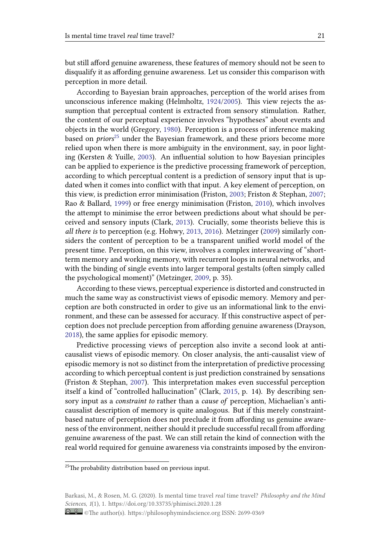but still afford genuine awareness, these features of memory should not be seen to disqualify it as affording genuine awareness. Let us consider this comparison with perception in more detail.

According to Bayesian brain approaches, perception of the world arises from unconscious inference making (Helmholtz, 1924/2005). This view rejects the assumption that perceptual content is extracted from sensory stimulation. Rather, the content of our perceptual experience involves "hypotheses" about events and objects in the world (Gregory, 1980). Perception is a process of inference making based on *priors*<sup>25</sup> under the Bayesian frame[work, and](#page-24-19) these priors become more relied upon when there is more ambiguity in the environment, say, in poor lighting (Kersten & Yuille, 2003). [An in](#page-24-20)fluential solution to how Bayesian principles can be applied [to](#page-20-0) experience is the predictive processing framework of perception, according to which perceptual content is a prediction of sensory input that is updated when it comes into conflict with that input. A key element of perception, on this view, is prediction [erro](#page-24-21)r minimisation (Friston, 2003; Friston & Stephan, 2007; Rao & Ballard, 1999) or free energy minimisation (Friston, 2010), which involves the attempt to minimise the error between predictions about what should be perceived and sensory inputs (Clark, 2013). Crucially, some theorists believe this is *all there is* to p[ercep](#page-25-27)tion (e.g. Hohwy, 2013, 2016). [Metzin](#page-24-22)g[er \(20](#page-24-24)09) similarl[y con](#page-24-23)siders the content of perception to be a transparent unified world model of the present time. Perception, on this view, involves a complex interweaving of "shortterm memory and working memor[y, wit](#page-23-13)h recurrent loops in neural networks, and with the binding of single events into [large](#page-24-25)r [temp](#page-24-26)oral gestalts [\(often](#page-25-28) simply called the psychological moment)" (Metzinger, 2009, p. 35).

According to these views, perceptual experience is distorted and constructed in much the same way as constructivist views of episodic memory. Memory and perception are both constructed in order to [give](#page-25-28) us an informational link to the environment, and these can be assessed for accuracy. If this constructive aspect of perception does not preclude perception from affording genuine awareness (Drayson, 2018), the same applies for episodic memory.

Predictive processing views of perception also invite a second look at anticausalist views of episodic memory. On closer analysis, the anti-causalist view of [episo](#page-24-27)dic memory is not so distinct from the interpretation of predictive processing according to which perceptual content is just prediction constrained by sensations (Friston & Stephan, 2007). This interpretation makes even successful perception itself a kind of "controlled hallucination" (Clark, 2015, p. 14). By describing sensory input as a *constraint to* rather than a *cause of* perception, Michaelian's anticausalist description [of m](#page-24-23)emory is quite analogous. But if this merely constraintbased nature of perception does not preclude it f[rom a](#page-23-14)ffording us genuine awareness of the environment, neither should it preclude successful recall from affording genuine awareness of the past. We can still retain the kind of connection with the real world required for genuine awareness via constraints imposed by the environ-

<sup>&</sup>lt;sup>25</sup>The probability distribution based on previous input.

<span id="page-20-0"></span>Barkasi, M., & Rosen, M. G. (2020). Is mental time travel *real* time travel? *Philosophy and the Mind Sciences*, *1*(1), 1. https://doi.org/10.33735/phimisci.2020.1.28

<sup>©</sup>The author(s). https://philosophymindscience.org ISSN: 2699-0369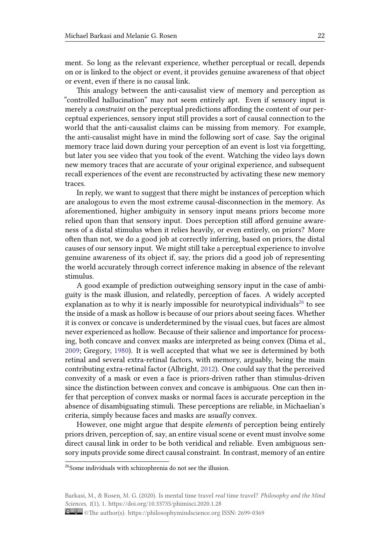ment. So long as the relevant experience, whether perceptual or recall, depends on or is linked to the object or event, it provides genuine awareness of that object or event, even if there is no causal link.

This analogy between the anti-causalist view of memory and perception as "controlled hallucination" may not seem entirely apt. Even if sensory input is merely a *constraint* on the perceptual predictions affording the content of our perceptual experiences, sensory input still provides a sort of causal connection to the world that the anti-causalist claims can be missing from memory. For example, the anti-causalist might have in mind the following sort of case. Say the original memory trace laid down during your perception of an event is lost via forgetting, but later you see video that you took of the event. Watching the video lays down new memory traces that are accurate of your original experience, and subsequent recall experiences of the event are reconstructed by activating these new memory traces.

In reply, we want to suggest that there might be instances of perception which are analogous to even the most extreme causal-disconnection in the memory. As aforementioned, higher ambiguity in sensory input means priors become more relied upon than that sensory input. Does perception still afford genuine awareness of a distal stimulus when it relies heavily, or even entirely, on priors? More often than not, we do a good job at correctly inferring, based on priors, the distal causes of our sensory input. We might still take a perceptual experience to involve genuine awareness of its object if, say, the priors did a good job of representing the world accurately through correct inference making in absence of the relevant stimulus.

A good example of prediction outweighing sensory input in the case of ambiguity is the mask illusion, and relatedly, perception of faces. A widely accepted explanation as to why it is nearly impossible for neurotypical individuals<sup>26</sup> to see the inside of a mask as hollow is because of our priors about seeing faces. Whether it is convex or concave is underdetermined by the visual cues, but faces are almost never experienced as hollow. Because of their salience and importance for [pr](#page-21-0)ocessing, both concave and convex masks are interpreted as being convex (Dima et al., 2009; Gregory, 1980). It is well accepted that what we see is determined by both retinal and several extra-retinal factors, with memory, arguably, being the main contributing extra-retinal factor (Albright, 2012). One could say that the perceived [conv](#page-24-28)exity of a [mask](#page-24-20) or even a face is priors-driven rather than stimulus-driven since the distinction between convex and concave is ambiguous. One can then infer that perception of convex masks or normal faces is accurate perception in the absence of disambiguating stimuli. These [percep](#page-23-15)tions are reliable, in Michaelian's criteria, simply because faces and masks are *usually* convex.

However, one might argue that despite *elements* of perception being entirely priors driven, perception of, say, an entire visual scene or event must involve some direct causal link in order to be both veridical and reliable. Even ambiguous sensory inputs provide some direct causal constraint. In contrast, memory of an entire

<sup>&</sup>lt;sup>26</sup>Some individuals with schizophrenia do not see the illusion.

<span id="page-21-0"></span>Barkasi, M., & Rosen, M. G. (2020). Is mental time travel *real* time travel? *Philosophy and the Mind Sciences*, *1*(1), 1. https://doi.org/10.33735/phimisci.2020.1.28

<sup>©</sup>The author(s). https://philosophymindscience.org ISSN: 2699-0369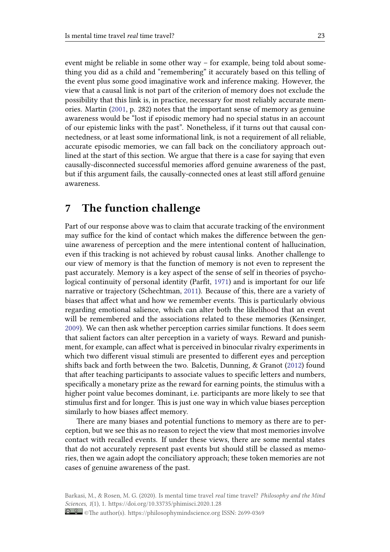event might be reliable in some other way – for example, being told about something you did as a child and "remembering" it accurately based on this telling of the event plus some good imaginative work and inference making. However, the view that a causal link is not part of the criterion of memory does not exclude the possibility that this link is, in practice, necessary for most reliably accurate memories. Martin (2001, p. 282) notes that the important sense of memory as genuine awareness would be "lost if episodic memory had no special status in an account of our epistemic links with the past". Nonetheless, if it turns out that causal connectedness, or [at lea](#page-24-3)st some informational link, is not a requirement of all reliable, accurate episodic memories, we can fall back on the conciliatory approach outlined at the start of this section. We argue that there is a case for saying that even causally-disconnected successful memories afford genuine awareness of the past, but if this argument fails, the causally-connected ones at least still afford genuine awareness.

## **7 The function challenge**

Part of our response above was to claim that accurate tracking of the environment may suffice for the kind of contact which makes the difference between the genuine awareness of perception and the mere intentional content of hallucination, even if this tracking is not achieved by robust causal links. Another challenge to our view of memory is that the function of memory is not even to represent the past accurately. Memory is a key aspect of the sense of self in theories of psychological continuity of personal identity (Parfit, 1971) and is important for our life narrative or trajectory (Schechtman, 2011). Because of this, there are a variety of biases that affect what and how we remember events. This is particularly obvious regarding emotional salience, which can alter both the likelihood that an event will be remembered and the associa[tions](#page-25-30) rela[ted t](#page-25-29)o these memories (Kensinger, 2009). We can then ask whether perception carries similar functions. It does seem that salient factors can alter perception in a variety of ways. Reward and punishment, for example, can affect what is perceived in binocular rivalry experiments in which two different visual stimuli are presented to different eyes and perception [shifts](#page-24-29) back and forth between the two. Balcetis, Dunning, & Granot (2012) found that after teaching participants to associate values to specific letters and numbers, specifically a monetary prize as the reward for earning points, the stimulus with a higher point value becomes dominant, i.e. participants are more likely to see that stimulus first and for longer. This is just one way in which value biase[s perc](#page-23-16)eption similarly to how biases affect memory.

There are many biases and potential functions to memory as there are to perception, but we see this as no reason to reject the view that most memories involve contact with recalled events. If under these views, there are some mental states that do not accurately represent past events but should still be classed as memories, then we again adopt the conciliatory approach; these token memories are not cases of genuine awareness of the past.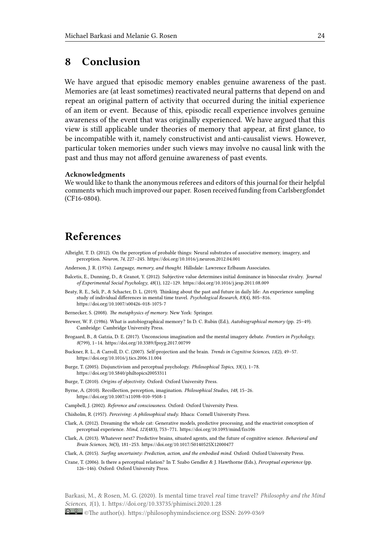## **8 Conclusion**

We have argued that episodic memory enables genuine awareness of the past. Memories are (at least sometimes) reactivated neural patterns that depend on and repeat an original pattern of activity that occurred during the initial experience of an item or event. Because of this, episodic recall experience involves genuine awareness of the event that was originally experienced. We have argued that this view is still applicable under theories of memory that appear, at first glance, to be incompatible with it, namely constructivist and anti-causalist views. However, particular token memories under such views may involve no causal link with the past and thus may not afford genuine awareness of past events.

#### **Acknowledgments**

We would like to thank the anonymous referees and editors of this journal for their helpful comments which much improved our paper. Rosen received funding from Carlsbergfondet (CF16-0804).

## **References**

- Albright, T. D. (2012). On the perception of probable things: Neural substrates of associative memory, imagery, and perception. *Neuron*, *74*, 227–245. https://doi.org/10.1016/j.neuron.2012.04.001
- Anderson, J. R. (1976). *Language, memory, and thought*. Hillsdale: Lawrence Erlbaum Associates.
- Balcetis, E., Dunning, D., & Granot, Y. (2012). Subjective value determines initial dominance in binocular rivalry. *Journal of Experimental Social Psychology*, *48*(1), 122–129. https://doi.org/10.1016/j.jesp.2011.08.009
- <span id="page-23-15"></span>Beaty, R. E., Seli, P., & Schacter, D. L. ([2019\). Thinking about the past and future in](https://doi.org/10.1016/j.neuron.2012.04.001) daily life: An experience sampling study of individual differences in mental time travel. *Psychological Research*, *83*(4), 805–816. https://doi.org/10.1007/s00426-018-1075-7

<span id="page-23-16"></span><span id="page-23-11"></span>Bernecker, S. (2008). *The metaphysics of memory*. New [York: Springer.](https://doi.org/10.1016/j.jesp.2011.08.009)

- <span id="page-23-1"></span>Brewer, W. F. (1986). What is autobiographical memory? In D. C. Rubin (Ed.), *Autobiographical memory* (pp. 25–49). Cambridge: Cambridge University Press.
- Brog[aard, B., & Gatzia, D. E. \(2017\). Unconsciou](https://doi.org/10.1007/s00426-018-1075-7)s imagination and the mental imagery debate. *Frontiers in Psychology*, *8*(799), 1–14. https://doi.org/10.3389/fpsyg.2017.00799
- <span id="page-23-12"></span><span id="page-23-7"></span>Buckner, R. L., & Carroll, D. C. (2007). Self-projection and the brain. *Trends in Cognitive Sciences*, *11*(2), 49–57. https://doi.org/10.1016/j.tics.2006.11.004
- <span id="page-23-10"></span>Burge, T. (2005). Disjunctivism and perceptual psychology. *Philosophical Topics*, *33*(1), 1–78. https://doi.or[g/10.5840/philtopics20053311](https://doi.org/10.3389/fpsyg.2017.00799)
- Burge, T. (2010). *Origins of objectivity*. Oxford: Oxford University Press.
- <span id="page-23-2"></span>Byrn[e, A. \(2010\). Recollection, perception, ima](https://doi.org/10.1016/j.tics.2006.11.004)gination. *Philosophical Studies*, *148*, 15–26. https://doi.org/10.1007/s11098-010-9508-1
- <span id="page-23-8"></span>Campbell, J. (2002). *[Reference and consciousness](https://doi.org/10.5840/philtopics20053311)*. Oxford: Oxford University Press.
- <span id="page-23-3"></span>Chisholm, R. (1957). *Perceiving: A philosophical study*. Ithaca: Cornell University Press.
- <span id="page-23-0"></span>Clark, A. (2012). Dreaming the whole cat: Generative models, predictive processing, and the enactivist conception of [perceptual experience.](https://doi.org/10.1007/s11098-010-9508-1) *Mind*, *121*(483), 753–771. https://doi.org/10.1093/mind/fzs106
- <span id="page-23-5"></span>Clark, A. (2013). Whatever next? Predictive brains, situated agents, and the future of cognitive science. *Behavioral and Brain Sciences*, *36*(3), 181–253. https://doi.org/10.1017/S0140525X12000477
- <span id="page-23-9"></span>Clark, A. (2015). *Surfing uncertainty: Prediction, action, and the embodied mind*. Oxford: Oxford University Press.
- <span id="page-23-13"></span><span id="page-23-6"></span>Crane, T. (2006). Is there a perceptual relation? In T. S[zabo Gendler & J. Hawthorne \(Eds.\)](https://doi.org/10.1093/mind/fzs106), *Perceptual experience* (pp. 126–146). Oxford: Oxford University Press.

<span id="page-23-14"></span><span id="page-23-4"></span>Barkasi, M., & Rosen, M. G. (2020). Is mental time travel *real* time travel? *Philosophy and the Mind Sciences*, *1*(1), 1. https://doi.org/10.33735/phimisci.2020.1.28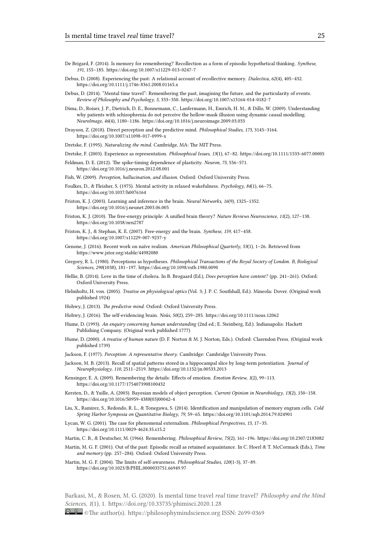- De Brigard, F. (2014). Is memory for remembering? Recollection as a form of episodic hypothetical thinking. *Synthese*, *191*, 155–185. https://doi.org/10.1007/s11229-013-0247-7
- Debus, D. (2008). Experiencing the past: A relational account of recollective memory. *Dialectica*, *62*(4), 405–432. https://doi.org/10.1111/j.1746-8361.2008.01165.x
- <span id="page-24-1"></span>Debus, D. (2014). "Mental time travel": Remembering the past, imagining the future, and the particularity of events. *Review of Phil[osophy and Psychology](https://doi.org/10.1007/s11229-013-0247-7)*, *5*, 333–350. https://doi.org/10.1007/s13164-014-0182-7
- <span id="page-24-2"></span>Dima, D., Roiser, J. P., Dietrich, D. E., Bonnemann, C., Lanfermann, H., Emrich, H. M., & Dillo, W. (2009). Understanding [why patients with schizophrenia do not perceiv](https://doi.org/10.1111/j.1746-8361.2008.01165.x)e the hollow-mask illusion using dynamic causal modelling. *NeuroImage*, *46*(4), 1180–1186. https://doi.org/10.1016/j.neuroimage.2009.03.033
- <span id="page-24-0"></span>Drayson, Z. (2018). Direct perception and the predictive mind. *[Philosophical Studies](https://doi.org/10.1007/s13164-014-0182-7)*, *175*, 3145–3164. https://doi.org/10.1007/s11098-017-0999-x
- <span id="page-24-28"></span>Dretske, F. (1995). *Naturalizing the mind*. Cambridge, MA: The MIT Press.
- Dretske, F. (2003). Experience as representation. *[Philosophical Issues](https://doi.org/10.1016/j.neuroimage.2009.03.033)*, *13*(1), 67–82. https://doi.org/10.1111/1533-6077.00005
- <span id="page-24-27"></span>Feldman, D. E. (2012). The spike-timing dependence of plasticity. *Neuron*, *75*, 556–571. [https://doi.org/10.1016/j.neuron.2012.08.00](https://doi.org/10.1007/s11098-017-0999-x)1
- <span id="page-24-9"></span>Fish, W. (2009). *Perception, hallucination, and illusion*. Oxford: Oxford University Press.
- <span id="page-24-10"></span>Foulkes, D., & Fleisher, S. (1975). Mental activity in relaxed wakefulness. *Psychology*, *84*[\(1\), 66–75.](https://doi.org/10.1111/1533-6077.00005) https://doi.org/10.1037/h0076164
- <span id="page-24-15"></span>Frist[on, K. J. \(2003\). Learning and inference in the](https://doi.org/10.1016/j.neuron.2012.08.001) brain. *Neural Networks*, *16*(9), 1325–1352. https://doi.org/10.1016/j.neunet.2003.06.005
- <span id="page-24-6"></span><span id="page-24-5"></span>Friston, K. J. (2010). The free-energy principle: A unified brain theory? *Nature Reviews Neuroscience*, *11*(2), 127–138. [https://doi.org/10.1038/nrn2787](https://doi.org/10.1037/h0076164)
- <span id="page-24-22"></span>Friston, K. J., & Stephan, K. E. (2007). Free-energy and the brain. *Synthese*, *159*, 417–458. [https://doi.org/10.1007/s11229-007-9237-y](https://doi.org/10.1016/j.neunet.2003.06.005)
- <span id="page-24-24"></span>Genone, J. (2016). Recent work on naïve realism. *American Philosophical Quarterly*, *53*(1), 1–26. Retrieved from [https://www.jstor.org/stable/44](https://doi.org/10.1038/nrn2787)982080
- <span id="page-24-23"></span>Gregory, R. L. (1980). Perceptions as hypotheses. *Philosophical Transactions of the Royal Society of London. B, Biological Sciences*, *290*[\(1038\), 181–197.](https://doi.org/10.1007/s11229-007-9237-y) https://doi.org/10.1098/rstb.1980.0090
- <span id="page-24-8"></span>Hellie, B. (2014). Love in the time of cholera. In B. Brogaard (Ed.), *Does perception have content?* (pp. 241–261). Oxford: [Oxford University Press.](https://www.jstor.org/stable/44982080)
- <span id="page-24-20"></span>Helmholtz, H. von. (2005). *Treatise on physiological optics* (Vol. 3; J. P. C. Southhall, Ed.). Mineola: Dover. (Original work published 1924)
- Hohwy, J. (2013). *The predictive mind*. Oxford: Oxford University Press.
- <span id="page-24-12"></span>Hohwy, J. (2016). The self-evidencing brain. *Noûs*, *50*(2), 259–285. https://doi.org/10.1111/nous.12062
- <span id="page-24-19"></span>Hume, D. (1993). *An enquiry concerning human understanding* (2nd ed.; E. Steinberg, Ed.). Indianapolis: Hackett Publishing Company. (Original work published 1777)
- <span id="page-24-25"></span>Hume, D. (2000). *A treatise of human nature* (D. F. Norton & M. J. Norton, Eds.). Oxford: Clarendon Press. (Original work published 1739)
- <span id="page-24-26"></span>Jackson, F. (1977). *Perception: A representative theory*. Cambridge: Cambridge University Press.
- <span id="page-24-4"></span>Jackson, M. B. (2013). Recall of spatial patterns stored in a hippocampal slice by long-term potentiation. *Journal of Neurophysiology*, *110*, 2511–2519. https://doi.org/10.1152/jn.00533.2013
- <span id="page-24-18"></span>Kensinger, E. A. (2009). Remembering the details: Effects of emotion. *Emotion Review*, *1*(2), 99–113. https://doi.org/10.1177/1754073908100432
- <span id="page-24-16"></span><span id="page-24-11"></span>Kersten, D., & Yuille, A. (2003). Bayesian models of object perception. *Current Opinion in Neurobiology*, *13*(2), 150–158. https://doi.org/10.1016/S0959-438[8\(03\)00042-4](https://doi.org/10.1152/jn.00533.2013)
- <span id="page-24-29"></span>Liu, X., Ramirez, S., Redondo, R. L., & Tonegawa, S. (2014). Identification and manipulation of memory engram cells. *Cold [Spring Harbor Symposia on Quantitative B](https://doi.org/10.1177/1754073908100432)iology*, *79*, 59–65. https://doi.org/10.1101/sqb.2014.79.024901
- <span id="page-24-21"></span>Lycan, W. G. (2001). The case for phenomenal externalism. *Philosophical Perspectives*, *15*, 17–35. [https://doi.org/10.1111/0029-4624.35.s15.2](https://doi.org/10.1016/S0959-4388(03)00042-4)
- Martin, C. B., & Deutscher, M. (1966). Remembering. *Philosophical Review*, *75*(2), 161–196. https://doi.org/10.2307/2183082
- <span id="page-24-17"></span>Martin, M. G. F. (2001). Out of the past: Episodic recall as retaine[d acquaintance. In C. Hoerl & T. McCorma](https://doi.org/10.1101/sqb.2014.79.024901)ck (Eds.), *Time and memory* (pp. 257–284). Oxford: Oxford University Press.
- <span id="page-24-14"></span><span id="page-24-13"></span>Mart[in, M. G. F. \(2004\). The limits of self-awaren](https://doi.org/10.1111/0029-4624.35.s15.2)ess. *Philosophical Studies*, *120*(1-3), 37–89. https://doi.org/10.1023/B:PHIL.0000033751.66949.97

<span id="page-24-7"></span><span id="page-24-3"></span>Barkasi, M., & Rosen, M. G. (2020). Is mental time travel *real* time travel? *Philosophy and the Mind Sciences*, *1*(1), 1. [https://doi.org/10.33735/phim](https://doi.org/10.1023/B:PHIL.0000033751.66949.97)isci.2020.1.28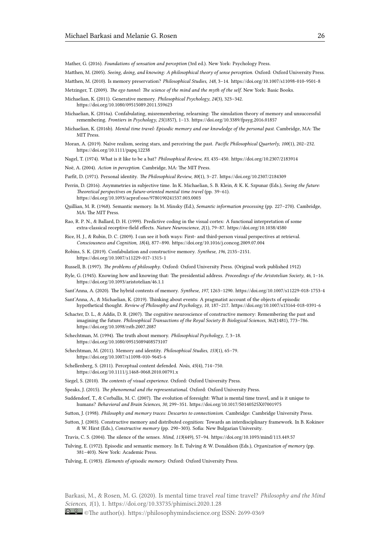Mather, G. (2016). *Foundations of sensation and perception* (3rd ed.). New York: Psychology Press.

Matthen, M. (2005). *Seeing, doing, and knowing: A philosophical theory of sense perception*. Oxford: Oxford University Press.

Matthen, M. (2010). Is memory preservation? *Philosophical Studies*, *148*, 3–14. https://doi.org/10.1007/s11098-010-9501-8

Metzinger, T. (2009). *The ego tunnel: The science of the mind and the myth of the self*. New York: Basic Books.

- <span id="page-25-16"></span>Michaelian, K. (2011). Generative memory. *Philosophical Psychology*, *24*(3), 323–342. https://doi.org/10.1080/09515089.2011.559623
- <span id="page-25-12"></span><span id="page-25-3"></span>Michaelian, K. (2016a). Confabulating, misremembering, relearning: The simu[lation theory of memory and unsuccessful](https://doi.org/10.1007/s11098-010-9501-8) remembering. *Frontiers in Psychology*, *25*(1857), 1–13. https://doi.org/10.3389/fpsyg.2016.01857
- <span id="page-25-28"></span><span id="page-25-21"></span>Michaelian, K. (2016b). *Mental time travel: Episodic memory and our knowledge of the personal past*. Cambridge, MA: The [MIT Press.](https://doi.org/10.1080/09515089.2011.559623)
- <span id="page-25-23"></span>Moran, A. (2019). Naïve realism, seeing stars, and perceiving the past. *Pacific Philosophical Quarterly*, *100*(1), 202–232. https://doi.org/10.1111/papq.12238
- Nagel, T. (1974). What is it like to be a bat? *Philosophical Review*, *83*, 435–450. https://doi.org/10.2307/2183914
- <span id="page-25-1"></span>Noë, A. (2004). *Action in perception*. Cambridge, MA: The MIT Press.
- <span id="page-25-14"></span>Parfit, D. (1971). Personal identity. *The Philosophical Review*, *80*(1), 3–27. https://doi.org/10.2307/2184309
- <span id="page-25-5"></span>Perri[n, D. \(2016\). Asymmetries in subjec](https://doi.org/10.1111/papq.12238)tive time. In K. Michaelian, S. B. Klein, & K. K. Szpunar (Eds.), *Seeing the future: Theoretical perspectives on future-oriented mental time travel* (pp. 39–61). https://doi.org/10.1093/acprof:oso/9780190241537.003.0003
- <span id="page-25-29"></span><span id="page-25-6"></span>Quillian, M. R. (1968). Semantic memory. In M. Minsky (Ed.), *Semantic i[nformation processing](https://doi.org/10.2307/2184309)* (pp. 227–270). Cambridge, MA: The MIT Press.
- <span id="page-25-15"></span>Rao, R. P. N., & Ballard, D. H. (1999). Predictive coding in the visual cortex: A functional interpretation of some [extra-classical receptive-field effects.](https://doi.org/10.1093/acprof:oso/9780190241537.003.0003) *Nature Neuroscience*, *2*(1), 79–87. https://doi.org/10.1038/4580
- <span id="page-25-18"></span>Rice, H. J., & Rubin, D. C. (2009). I can see it both ways: First- and third-person visual perspectives at retrieval. *Consciousness and Cognition*, *18*(4), 877–890. https://doi.org/10.1016/j.concog.2009.07.004
- <span id="page-25-27"></span>Robins, S. K. (2019). Confabulation and constructive memory. *Synthese*, *196*, 2135–2151. https://doi.org/10.1007/s11229-017-1315-1
- Russell, B. (1997). *The problems of philosophy*. Oxford: Oxford University Press. (Original work published 1912)
- <span id="page-25-25"></span>Ryle, G. (1945). Knowing how and knowing that: [The presidential address.](https://doi.org/10.1016/j.concog.2009.07.004) *Proceedings of the Aristotelian Society*, *46*, 1–16. https://doi.org/10.1093/aristotelian/46.1.1
- <span id="page-25-20"></span>Sant'[Anna, A. \(2020\). The hybrid contents of me](https://doi.org/10.1007/s11229-017-1315-1)mory. *Synthese*, *197*, 1263–1290. https://doi.org/10.1007/s11229-018-1753-4
- <span id="page-25-11"></span>Sant'Anna, A., & Michaelian, K. (2019). Thinking about events: A pragmatist account of the objects of episodic hypothetical thought. *Review of Philosophy and Psychology*, *10*, 187–217. https://doi.org/10.1007/s13164-018-0391-6
- <span id="page-25-17"></span>Scha[cter, D. L., & Addis, D. R. \(2007\). The cogn](https://doi.org/10.1093/aristotelian/46.1.1)itive neuroscience of constructive memory: Remembering the past and imagining the future. *Philosophical Transactions of the Royal Society B: Biological Sciences*, *362*[\(1481\), 773–786.](https://doi.org/10.1007/s11229-018-1753-4) https://doi.org/10.1098/rstb.2007.2087
- <span id="page-25-10"></span><span id="page-25-8"></span>Schechtman, M. (1994). The truth about memory. *Philosophical Psychology*, *7*, [3–18.](https://doi.org/10.1007/s13164-018-0391-6) https://doi.org/10.1080/09515089408573107
- <span id="page-25-4"></span>Schechtman, M. (2011). Memory and identity. *Philosophical Studies*, *153*(1), 65–79. [https://doi.org/10.1007/s11098-010-96](https://doi.org/10.1098/rstb.2007.2087)45-6
- <span id="page-25-26"></span>Schellenberg, S. (2011). Perceptual content defended. *Noûs*, *45*(4), 714–750. [https://doi.org/10.1111/j.1468-0068.2010.007](https://doi.org/10.1080/09515089408573107)91.x
- Siegel, S. (2010). *The contents of visual experience*. Oxford: Oxford University Press.
- <span id="page-25-30"></span>Speaks, J. (2015). *[The phenomenal and the represe](https://doi.org/10.1007/s11098-010-9645-6)ntational*. Oxford: Oxford University Press.
- <span id="page-25-13"></span>Suddendorf, T., & Corballis, M. C. (2007). The evolution of foresight: What is mental time travel, and is it unique to humans? *[Behavioral and Brain Sciences](https://doi.org/10.1111/j.1468-0068.2010.00791.x)*, *30*, 299–351. https://doi.org/10.1017/S0140525X07001975
- <span id="page-25-7"></span>Sutton, J. (1998). *Philosophy and memory traces: Descartes to connectionism*. Cambridge: Cambridge University Press.
- <span id="page-25-9"></span>Sutton, J. (2003). Constructive memory and distributed cognition: Towards an interdisciplinary framework. In B. Kokinov & W. Hirst (Eds.), *Constructive memory* (pp. 290–303). Sofia: New Bulgarian University.
- <span id="page-25-2"></span>Travis, C. S. (2004). The silence of the senses. *Mind*, *113*(449), 57–94. [https://doi.org/10.1093/mind/113.](https://doi.org/10.1017/S0140525X07001975)449.57
- <span id="page-25-22"></span>Tulving, E. (1972). Episodic and semantic memory. In E. Tulving & W. Donaldson (Eds.), *Organization of memory* (pp. 381–403). New York: Academic Press.
- <span id="page-25-24"></span>Tulving, E. (1983). *Elements of episodic memory*. Oxford: Oxford University Press.

<span id="page-25-19"></span><span id="page-25-0"></span>Barkasi, M., & Rosen, M. G. (2020). Is mental time travel *real* time travel? *Philosophy and the Mind Sciences*, *1*(1), 1. https://doi.org/10.33735/phimisci.2020.1.28